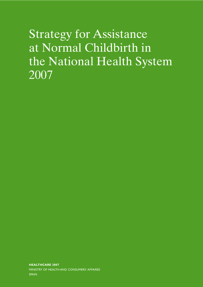# Strategy for Assistance at Normal Childbirth in the National Health System 2007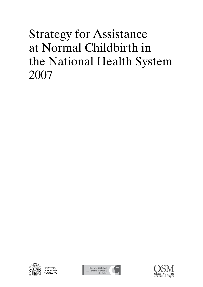# Strategy for Assistance at Normal Childbirth in the National Health System 2007



Plan de Calidad Sistema Nacional<br>Sistema Nacional<br>de Salud

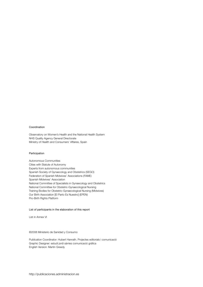#### Coordination

Observatory on Women's Health and the National Health System NHS Quality Agency General Directorate Ministry of Health and Consumers' Affaires, Spain

#### Participation

Autonomous Communities Cities with Statute of Autonomy Experts from autonomous communities Spanish Society of Gynaecology and Obstetrics (SEGO) Federation of Spanish Midwives' Associations (FAME) Spanish Midwives' Association National Committee of Specialists in Gynaecology and Obstetrics National Committee for Obstetric-Gynaecological Nursing Training Bodies for Obstetric-Gynaecological Nursing (Midwives) Our Birth Association [El Parto Es Nuestro] (EPEN) Pro-Birth Rights Platform

#### List of participants in the elaboration of this report

List in Annex VI

#### ©2008 Ministerio de Sanidad y Consumo

Publication Coordinator: Hubert Hanrath. Projectes editorials i comunicació Graphic Designer: estudi jordi sàrries comunicació gràfica English Version: Martin Greedy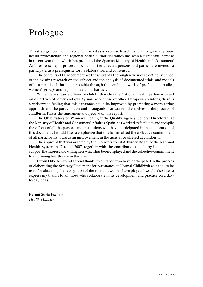# Prologue

This strategy document has been prepared as a response to a demand among social groups, health professionals and regional health authorities which has seen a significant increase in recent years, and which has prompted the Spanish Ministry of Health and Consumers' Affaires to set up a process in which all the affected persons and parties are invited to participate, as a prerequisite for its elaboration and consensus.

The contents of this document are the result of a thorough review of scientific evidence, of the existing research on the subject and the analysis of documented trials, and models of best practice. It has been possible through the combined work of professional bodies, women's groups and regional health authorities.

While the assistance offered at childbirth within the National Health System is based on objectives of safety and quality similar to those of other European countries, there is a widespread feeling that this assistance could be improved by promoting a more caring approach and the participation and protagonism of women themselves in the process of childbirth. This is the fundamental objective of this report.

The Observatory on Women's Health, at the Quality Agency General Directorate at the Ministry of Health and Consumers' Affaires, Spain, has worked to facilitate and compile the efforts of all the persons and institutions who have participated in the elaboration of this document. I would like to emphasize that this has involved the collective commitment of all participants towards an improvement in the assistance offered at childbirth.

The approval that was granted by the Inter-territorial Advisory Board of the National Health System in October 2007, together with the contributions made by its members, support the interest and willingness which has been displayed and the collective commitment to improving health care in this area.

I would like to extend special thanks to all those who have participated in the process of elaborating the Strategy Document for Assistance at Normal Childbirth as a tool to be used for obtaining the recognition of the role that women have played. I would also like to express my thanks to all those who collaborate in its development and practice on a dayto-day basis.

**Bernat Soria Escoms** *Health Minister*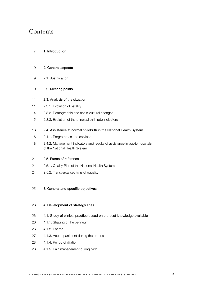# Contents

- 1. Introduction
- 2. General aspects
- 2.1. Justification
- 2.2. Meeting points
- 2.3. Analysis of the situation
- 2.3.1. Evolution of natality
- 2.3.2. Demographic and socio-cultural changes
- 2.3.3. Evolution of the principal birth rate indicators
- 2.4. Assistance at normal childbirth in the National Health System
- 2.4.1. Programmes and services
- 2.4.2. Management indicators and results of assistance in public hospitals of the National Health System
- 2.5. Frame of reference
- 2.5.1. Quality Plan of the National Health System
- 2.5.2. Transversal sections of equality
- 3. General and specific objectives

#### 4. Development of strategy lines

- 4.1. Study of clinical practice based on the best knowledge available
- 4.1.1. Shaving of the perineum
- 4.1.2. Enema
- 4.1.3. Accompaniment during the process
- 4.1.4. Period of dilation
- 4.1.5. Pain management during birth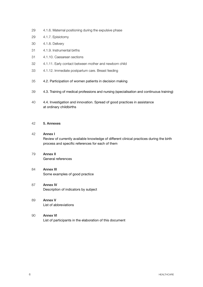- 4.1.6. Maternal positioning during the expulsive phase
- 4.1.7. Episiotomy
- 4.1.8. Delivery
- 4.1.9. Instrumental births
- 4.1.10. Caesarean sections
- 4.1.11. Early contact between mother and newborn child
- 4.1.12. Immediate postpartum care. Breast feeding
- 4.2. Participation of women patients in decision making
- 4.3. Training of medical professions and nursing (specialisation and continuous training)
- 4.4. Investigation and innovation. Spread of good practices in assistance at ordinary childbirths

#### 5. Annexes

- Annex I Review of currently available knowledge of different clinical practices during the birth process and specific references for each of them
- Annex II General references
- **Annex III** Some examples of good practice
- Annex IV Description of indicators by subject
- Annex V List of abbreviations
- Annex VI List of participants in the elaboration of this document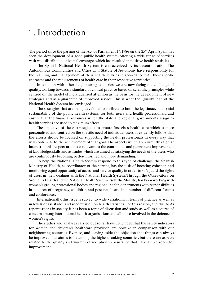# 1. Introduction

The period since the passing of the Act of Parliament  $14/1986$  on the  $25<sup>th</sup>$  April, Spain has seen the development of a good public health system, offering a wide range of services with well-distributed universal coverage, which has resulted in positive health statistics.

The Spanish National Health System is characterized by its decentralisation. The Autonomous Communities and Cities with Statute of Autonomy have responsibility for the planning and management of their health services in accordance with their specific character and the requirements of health care in their respective territories.

In common with other neighbouring countries, we are now facing the challenge of quality, working towards a standard of clinical practice based on scientific principles while centred on the model of individualised attention as the basis for the development of new strategies and as a guarantee of improved service. This is what the Quality Plan of the National Health System has envisaged.

The strategies that are being developed contribute to both the legitimacy and social sustainability of the public health systems, for both users and health professionals, and ensure that the financial resources which the state and regional governments assign to health services are used to maximum effect.

The objective of these strategies is to ensure first-class health care which is more personalised and centred on the specific need of individual users. It evidently follows that the efforts should be focused on supporting the health professionals in every way that will contribute to the achievement of that goal. The aspects which are currently of great interest in this respect are those relevant to the continuous and permanent improvement of knowledge, skills and attitudes which are aimed at satisfying the needs of the users, who are continuously becoming better-informed and more demanding.

To help the National Health System respond to this type of challenge, the Spanish Ministry of Health, as coordinator of the service, has the task of boosting cohesion and monitoring equal opportunity of access and service quality in order to safeguard the rights of users in their dealings with the National Health System. Through the Observatory on Women's Health and the National Health System itself, the Ministry has been working with women's groups, professional bodies and regional health departments with responsibilities in the area of pregnancy, childbirth and post-natal care, in a number of different forums and conferences.

Internationally, this issue is subject to wide variations, in terms of practice as well as in levels of assistance and repercussion on health statistics. For this reason, and due to its repercussions in society, it has been a topic of discussion and study as well as a source of concern among international health organisations and all those involved in the defence of women's rights.

The studies and analyses carried out so far have concluded that the safety indicators for women and children's healthcare provision are positive in comparison with our neighbouring countries. Even so, and leaving aside the objection that things can always be improved, our aim is to be among the highest ranking countries, but there are aspects related to the quality and warmth of reception in assistance that have ample room for improvement.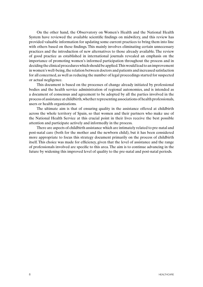On the other hand, the Observatory on Women's Health and the National Health System have reviewed the available scientific findings on midwifery, and this review has provided valuable information for updating some current practices to bring them into line with others based on these findings. This mainly involves eliminating certain unnecessary practices and the introduction of new alternatives to those already available. The review of good practice as established in international journals revealed an emphasis on the importance of promoting women's informed participation throughout the process and in deciding the clinical procedures which should be applied. This would lead to an improvement in women's well-being, the relation between doctors and patients and increased satisfaction for all concerned, as well as reducing the number of legal proceedings started for suspected or actual negligence.

This document is based on the processes of change already initiated by professional bodies and the health service administration of regional autonomies, and is intended as a document of consensus and agreement to be adopted by all the parties involved in the process of assistance at childbirth, whether representing associations of health professionals, users or health organizations.

The ultimate aim is that of ensuring quality in the assistance offered at childbirth across the whole territory of Spain, so that women and their partners who make use of the National Health Service at this crucial point in their lives receive the best possible attention and participate actively and informedly in the process.

There are aspects of childbirth assistance which are intimately related to pre-natal and post-natal care (both for the mother and the newborn child), but it has been considered more appropriate to focus this strategy document primarily on the process of childbirth itself. This choice was made for efficiency, given that the level of assistance and the range of professionals involved are specific to this area. The aim is to continue advancing in the future by widening this improved level of quality to the pre-natal and post-natal periods.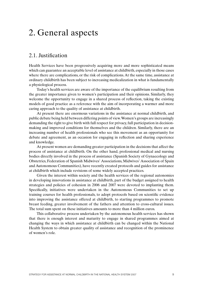# 2. General aspects

## 2.1. Justification

Health Services have been progressively acquiring more and more sophisticated means which can guarantee an acceptable level of assistance at childbirth, especially in those cases where there are complications, or the risk of complications. At the same time, assistance at ordinary childbirth has been subject to increasing medicalization in what is fundamentally a physiological process.

Today's health services are aware of the importance of the equilibrium resulting from the greater importance given to women's participation and their opinions. Similarly, they welcome the opportunity to engage in a shared process of reflection, taking the existing models of good practice as a reference with the aim of incorporating a warmer and more caring approach to the quality of assistance at childbirth.

At present there are enormous variations in the assistance at normal childbirth, and public debate being held between differing points of view. Women's groups are increasingly demanding the right to give birth with full respect for privacy, full participation in decisionmaking and improved conditions for themselves and the children. Similarly, there are an increasing number of health professionals who see this movement as an opportunity for debate and agreement, as an occasion for engaging in reflection and sharing experience and knowledge.

At present women are demanding greater participation in the decisions that affect the process of assistance at childbirth. On the other hand, professional medical and nursing bodies directly involved in the process of assistance (Spanish Society of Gynaecology and Obstetrics, Federation of Spanish Midwives' Associations, Midwives' Association of Spain and Autonomous Communities), have recently created protocols and guides for assistance at childbirth which include revisions of some widely accepted practices.

Given the interest within society and the health services of the regional autonomies in developing innovations in assistance at childbirth, part of the budget assigned to health strategies and policies of cohesion in 2006 and 2007 were devoted to implanting them. Specifically, initiatives were undertaken in the Autonomous Communities to set up training courses for health professionals, to adopt protocols based on scientific evidence into improving the assistance offered at childbirth, to starting programmes to promote breast feeding, greater involvement of the fathers and attention to cross-cultural issues. The total sum spent on these initiatives amounts to more than 4 million euros.

This collaborative process undertaken by the autonomous health services has shown that there is enough interest and maturity to engage in shared programmes aimed at changing the ways in which assistance at childbirth can be changed within the National Health System to obtain greater quality of assistance and recognition of the prominence of women's role.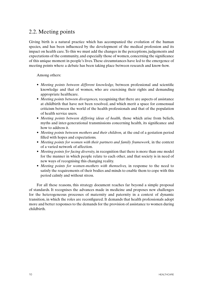# 2.2. Meeting points

Giving birth is a natural practice which has accompanied the evolution of the human species, and has been influenced by the development of the medical profession and its impact on health care. To this we must add the changes in the perceptions, judgements and expectations of the community, and especially those of women, concerning the significance of this unique moment in people's lives. These circumstances have led to the emergence of meeting points where a debate has been taking place between research and know-how.

Among others:

- • *Meeting points between different knowledge,* between professional and scientific knowledge and that of women, who are exercising their rights and demanding appropriate healthcare.
- *Meeting points between divergences, recognising that there are aspects of assistance* at childbirth that have not been resolved, and which merit a space for consensual criticism between the world of the health professionals and that of the population of health service users.
- *Meeting points between differing ideas of health*, those which arise from beliefs, myths and inter-generational transmissions concerning health, its significance and how to address it.
- *Meeting points between mothers and their children*, at the end of a gestation period filled with hopes and expectations.
- *Meeting points for women with their partners and family framework*, in the context of a varied network of affection.
- *Meeting points for facing diversity,* in recognition that there is more than one model for the manner in which people relate to each other, and that society is in need of new ways of recognising this changing reality.
- *Meeting points for women-mothers with themselves*, in response to the need to satisfy the requirements of their bodies and minds to enable them to cope with this period calmly and without stress.

For all these reasons, this strategy document reaches far beyond a simple proposal of standards. It recognises the advances made in medicine and proposes new challenges for the heterogeneous processes of maternity and paternity in a context of dynamic transition, in which the roles are reconfigured. It demands that health professionals adopt more and better responses to the demands for the provision of assistance to women during childbirth.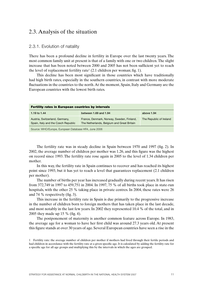### 2.3. Analysis of the situation

#### 2.3.1. Evolution of natality

There has been a profound decline in fertility in Europe over the last twenty years. The most common family unit at present is that of a family with one or two children. The slight increase that has been noted between 2000 and 2005 has not been sufficient yet to reach the level of replacement fertility rate<sup>1</sup> (2.1 children per woman; fig. 1).

This decline has been most significant in those countries which have traditionally had high birth rates, especially in the southern countries, in contrast with more moderate fluctuations in the countries to the north. At the moment, Spain, Italy and Germany are the European countries with the lowest birth rates.

| <b>Fertility rates in European countries by intervals</b>             |                                                                                         |                         |
|-----------------------------------------------------------------------|-----------------------------------------------------------------------------------------|-------------------------|
| 1.19 to 1.44                                                          | between 1.69 and 1.94                                                                   | above 1.94              |
| Austria, Switzerland, Germany,<br>Spain, Italy and the Czech Republic | France, Denmark, Norway, Sweden, Finland,<br>The Netherlands, Belgium and Great Britain | The Republic of Ireland |
| Source: WHO/Europe, European Database HFA, June 2006                  |                                                                                         |                         |

The fertility rate was in steady decline in Spain between 1970 and 1997 (fig. 2). In 2002, the average number of children per mother was 1.26, and this figure was the highest on record since 1993. The fertility rate rose again in 2005 to the level of 1.34 children per mother.

In this way, the fertility rate in Spain continues to recover and has reached its highest point since 1993, but it has yet to reach a level that guarantees replacement (2.1 children per mother).

The number of births per year has increased gradually during recent years. It has risen from 372,749 in 1997 to 459,751 in 2004. In 1997, 75 % of all births took place in state-run hospitals, with the other 25 % taking place in private centres. In 2004, these rates were 26 and 74 % respectively (fig. 3).

This increase in the fertility rate in Spain is due primarily to the progressive increase in the number of children born to foreign mothers that has taken place in the last decade, and most notably in the last few years. In 2002 they represented 10.4 % of the total, and in 2005 they made up 15 % (fig. 4).

The postponement of maternity is another common feature across Europe. In 1983, the average age for a woman to have her first child was around 27.3 years old. At present this figure stands at over 30 years of age. Several European countries have seen a rise in the

<sup>1</sup> Fertility rate: the average number of children per mother if mothers had lived through their fertile periods and had children in accordance with the fertility rate at a given specific age. It is calculated by adding the fertility rate for a specific age for all age groups and multiplying this by the intervals in which the ages are grouped.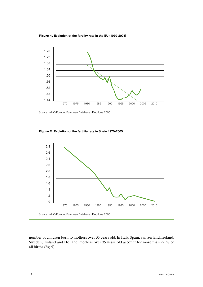



number of children born to mothers over 35 years old. In Italy, Spain, Switzerland, Ireland, Sweden, Finland and Holland, mothers over 35 years old account for more than 22 % of all births (fig. 5).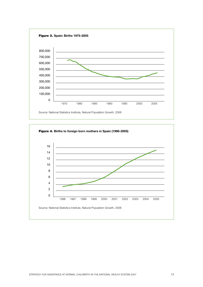

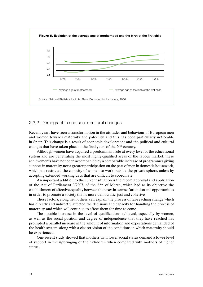

#### 2.3.2. Demographic and socio-cultural changes

Recent years have seen a transformation in the attitudes and behaviour of European men and women towards maternity and paternity, and this has been particularly noticeable in Spain. This change is a result of economic development and the political and cultural changes that have taken place in the final years of the 20<sup>th</sup> century.

Although women have acquired a predominant role at every level of the educational system and are penetrating the most highly-qualified areas of the labour market, these achievements have not been accompanied by a comparable increase of programmes giving support in maternity, nor a greater participation on the part of men in domestic housework, which has restricted the capacity of women to work outside the private sphere, unless by accepting extended working days that are difficult to coordinate.

An important addition to the current situation is the recent approval and application of the Act of Parliament 3/2007, of the 22nd of March, which had as its objective the establishment of effective equality between the sexes in terms of attention and opportunities in order to promote a society that is more democratic, just and cohesive.

These factors, along with others, can explain the process of far-reaching change which has directly and indirectly affected the decisions and capacity for handling the process of maternity, and which will continue to affect them for time to come.

The notable increase in the level of qualifications achieved, especially by women, as well as the social position and degree of independence that they have reached has prompted a parallel increase in the amount of information and expectations demanded of the health system, along with a clearer vision of the conditions in which maternity should be experienced.

One recent study showed that mothers with lower social status demand a lower level of support in the upbringing of their children when compared with mothers of higher status.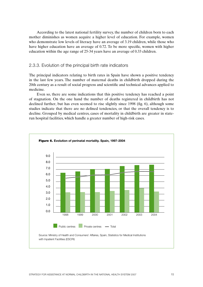According to the latest national fertility survey, the number of children born to each mother diminishes as women acquire a higher level of education. For example, women who demonstrate low levels of literacy have an average of 3.19 children, while those who have higher education have an average of 0.72. To be more specific, women with higher education within the age range of 25-34 years have an average of 0.33 children.

#### 2.3.3. Evolution of the principal birth rate indicators

The principal indicators relating to birth rates in Spain have shown a positive tendency in the last few years. The number of maternal deaths in childbirth dropped during the 20th century as a result of social progress and scientific and technical advances applied to medicine.

Even so, there are some indications that this positive tendency has reached a point of stagnation. On the one hand the number of deaths registered in childbirth has not declined further, but has even seemed to rise slightly since 1998 (fig. 6), although some studies indicate that there are no defined tendencies, or that the overall tendency is to decline. Grouped by medical centres, cases of mortality in childbirth are greater in staterun hospital facilities, which handle a greater number of high-risk cases.

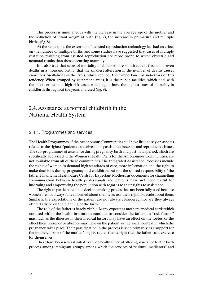This process is simultaneous with the increase in the average age of the mother and the reduction of infant weight at birth (fig. 7), the increase in premature and multiple births. (fig.  $8$ ).

At the same time, the extension of assisted reproduction technology has had an effect on the number of multiple births, and some studies have suggested that cases of multiple gestation resulting from assisted reproduction are more prone to worse obstetric and neonatal results than those occurring naturally.

It is also true that cases of mortality in childbirth are so infrequent (less than seven deaths in a thousand births) that the smallest alteration in the number of deaths causes enormous oscillations in the rates, which reduces their importance as indicators of this tendency. When grouped by catchment areas, it is the public facilities, which deal with the most serious and high-risk cases, which again have the highest rates of mortality in childbirth throughout the years analysed (fig. 9).

## 2.4. Assistance at normal childbirth in the National Health System

#### 2.4.1. Programmes and services

The Health Programmes of the Autonomous Communities still have little to say on aspects related to the rights of patients to receive quality assistance in sexual and reproductive issues. The sub-programmes of assistance during pregnancy, birth and post-natal period, which are specifically addressed in the Women's Health Plans for the Autonomous Communities, are not available from all of these communities. The Integrated Assistance Processes include the rights of women to demand high standards of care, more information and the right to make decisions during pregnancy and childbirth, but not the shared responsibility of the father. Finally, the Health Care Cards for Expectant Mothers, as documents for channelling communication between health professionals and patients have not been useful for informing and empowering the population with regards to their rights to assistance.

The right to participate in the decision making process has not been fully used because women are not always fully informed about their tests, nor their right to decide about them. Similarly, the expectations of the patient are not always considered, nor are they always offered advice on the planning of the birth.

The role of the father is barely visible. Many expectant mothers' medical cards which are used within the health institutions continue to consider the fathers as "risk factors" inasmuch as the illnesses in their medical history may have an effect on the foetus, or the effect their presence or absence may have on the patient, or the social context in which the pregnancy takes place. Their participation in the process is seen primarily as a support for the mother, as one of the mother's rights, rather than a right that the fathers can exercise for themselves.

There have been several initiatives specifically aimed at offering assistance for the birth process among immigrant groups, among which the services of "cultural mediators" and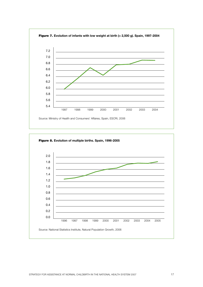

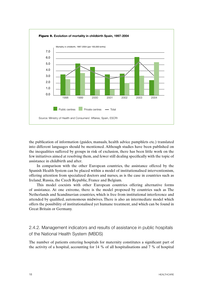

the publication of information (guides, manuals, health advice pamphlets etc.) translated into different languages should be mentioned. Although studies have been published on the inequalities suffered by groups in risk of exclusion, there has been little work on the few initiatives aimed at resolving them, and fewer still dealing specifically with the topic of assistance in childbirth and after.

In comparison with the other European countries, the assistance offered by the Spanish Health System can be placed within a model of institutionalised interventionism, offering attention from specialized doctors and nurses, as is the case in countries such as Ireland, Russia, the Czech Republic, France and Belgium.

This model coexists with other European countries offering alternative forms of assistance. At one extreme, there is the model proposed by countries such as The Netherlands and Scandinavian countries, which is free from institutional interference and attended by qualified, autonomous midwives. There is also an intermediate model which offers the possibility of institutionalised yet humane treatment, and which can be found in Great Britain or Germany.

2.4.2. Management indicators and results of assistance in public hospitals of the National Health System (MBDS)

The number of patients entering hospitals for maternity constitutes a significant part of the activity of a hospital, accounting for 14 % of all hospitalisations and 7 % of hospital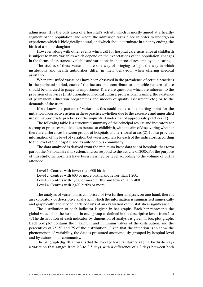admissions. It is the only area of a hospital's activity which is mostly aimed at a healthy segment of the population, and where the admission takes place in order to undergo an experience which is biologically natural, and which should terminate in a happy ending, the birth of a son or daughter.

However, along with other events which call for hospital care, assistance at childbirth is subject to many variables which depend on the expectations of the population, changes in the forms of assistance available and variations in the procedures employed in caring.

The studies of these variations are one way of bringing to light the way in which institutions and health authorities differ in their behaviour when offering medical assistance.

When unjustified variations have been observed in the prevalence of certain practices in the perinatal period, each of the factors that contribute to a specific pattern of use should be analysed to gauge its importance. There are questions which are inherent to the provision of services (institutionalised medical culture, professional training, the existence of permanent education programmes and models of quality assessment etc.) or to the demands of the users.

If we know the pattern of variations, this could make a fine starting point for the initiation of corrective action in these practices, whether due to the excessive and unjustified use of inappropriate practices or the unjustified under use of appropriate practices (1).

The following table is a structured summary of the principal results and indicators for a group of practices relative to assistance at childbirth, with the aim of discovering whether there are differences between groups of hospitals and territorial areas (2). It also provides information of the level of variation between hospitals for each of the indicators, according to the level of the hospital and its autonomous community.

The data analysed is derived from the minimum basic data set of hospitals that form part of the National Health System, and correspond to the activity of 2005. For the purpose of this study, the hospitals have been classified by level according to the volume of births attended:

Level 1: Centres with fewer than 600 births Level 2: Centres with 600 or more births, and fewer than 1,200. Level 3: Centres with 1,200 or more births, and fewer than 2,400.

Level 4: Centres with 2,400 births or more.

The analysis of variations is comprised of two further analyses: on one hand, there is an exploratory or descriptive analysis, in which the information is summarised numerically and graphically. The second parts consists of an evaluation of the statistical significance.

The distribution of each indicator is given in bar graphs. Each bar represents the global value of all the hospitals in each group as defined in the descriptive levels from 1 to 4. The distribution of each indicator by dimension of analysis is given in box plot graphs. Each box plot contains the maximum and minimum values of the distribution, and the percentiles of 25, 50 and 75 of the distribution. Given that the intention is to show the phenomenon of variability, the data is presented anonymously, grouped by hospital level and by autonomous community.

The bar graph (fig. 10) shows us that the average hospital stay for vaginal births displays a variation that ranges from 2.3 to 3.5 days, with a difference of 1.2 days between both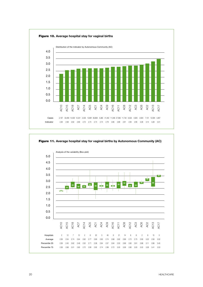



Figure 11. **Average hospital stay for vaginal births by Autonomous Community (AC)**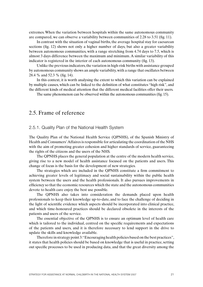extremes. When the variation between hospitals within the same autonomous community are compared, we can observe a variability between communities of 2.28 to 3.51 (fig. 11).

In contrast with the situation of vaginal births, the average hospital stay for caesarean sections (fig. 12) shows not only a higher number of days, but also a greater variability between autonomous communities, with a range stretching from 4.74 days to 7.5, which is almost 3 days difference between the maximum and minimum. A similar variability of this indicator is registered in the interior of each autonomous community (fig. 13).

Unlike the previous indicators, the variation in high-risk births with assistance grouped by autonomous community shows an ample variability, with a range that oscillates between 28.4 % and 52.3 % (fig. 14).

In this context, it is worth analysing the extent to which this variation can be explained by multiple causes, which can be linked to the definition of what constitutes "high risk", and the different kinds of medical attention that the different medical facilities offer their users.

The same phenomenon can be observed within the autonomous communities (fig. 15).

### 2.5. Frame of reference

#### 2.5.1. Quality Plan of the National Health System

The Quality Plan of the National Health Service (QPNHS), of the Spanish Ministry of Health and Consumers' Affaires is responsible for articulating the coordination of the NHS with the aim of promoting greater cohesion and higher standards of service, guaranteeing the rights of the citizens and the users of the NHS.

The QPNHS places the general population at the centre of the modern health service, giving rise to a new model of health assistance focused on the patients and users. This change of focus is the basis for the development of new strategies.

The strategies which are included in the QPNHS constitute a firm commitment to achieving greater levels of legitimacy and social sustainability within the public health system between the users and the health professionals. It also pursues improvements in efficiency so that the economic resources which the state and the autonomous communities devote to health care enjoy the best use possible.

The QPNHS also takes into consideration the demands placed upon health professionals to keep their knowledge up-to-date, and to face the challenge of deciding in the light of scientific evidence which aspects should be incorporated into clinical practice, and which time-honoured practices should be declared obsolete in the interests of the patients and users of the service.

The essential objective of the QPNHS is to ensure an optimum level of health care which is tailored to the individual, centred on the specific requirements and expectations of the patients and users, and it is therefore necessary to lend support in the drive to update the skills and knowledge available.

Therefore in strategy point 3: "Encouraging health policies based on the best practices", it states that health policies should be based on knowledge that is useful in practice, setting out specific processes to be used in producing data, and that the great diversity among the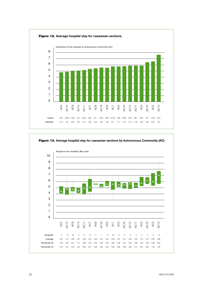

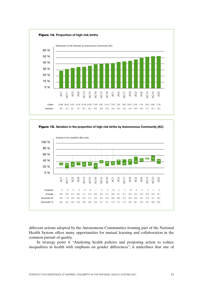



different actions adopted by the Autonomous Communities forming part of the National Health System offers many opportunities for mutual learning and collaboration in the common pursuit of quality.

In strategy point 4: "Analysing health policies and proposing action to reduce inequalities in health with emphasis on gender differences", it underlines that one of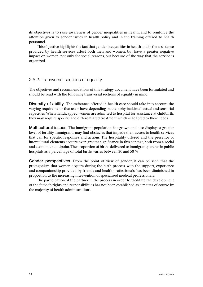its objectives is to raise awareness of gender inequalities in health, and to reinforce the attention given to gender issues in health policy and in the training offered to health personnel.

This objective highlights the fact that gender inequalities in health and in the assistance provided by health services affect both men and women, but have a greater negative impact on women, not only for social reasons, but because of the way that the service is organized.

#### 2.5.2. Transversal sections of equality

The objectives and recommendations of this strategy document have been formulated and should be read with the following transversal sections of equality in mind:

Diversity of ability. The assistance offered in health care should take into account the varying requirements that users have, depending on their physical, intellectual and sensorial capacities. When handicapped women are admitted to hospital for assistance at childbirth, they may require specific and differentiated treatment which is adapted to their needs.

Multicultural issues. The immigrant population has grown and also displays a greater level of fertility. Immigrants may find obstacles that impede their access to health services that call for specific responses and actions. The hospitality offered and the presence of intercultural elements acquire even greater significance in this context, both from a social and economic standpoint. The proportion of births delivered to immigrant parents in public hospitals as a percentage of total births varies between 20 and 50 %.

Gender perspectives. From the point of view of gender, it can be seen that the protagonism that women acquire during the birth process, with the support, experience and companionship provided by friends and health professionals, has been diminished in proportion to the increasing intervention of specialised medical professionals.

The participation of the partner in the process in order to facilitate the development of the father's rights and responsibilities has not been established as a matter of course by the majority of health administrations.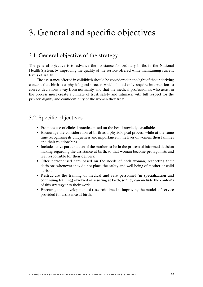# 3. General and specific objectives

## 3.1. General objective of the strategy

The general objective is to advance the assistance for ordinary births in the National Health System, by improving the quality of the service offered while maintaining current levels of safety.

The assistance offered in childbirth should be considered in the light of the underlying concept that birth is a physiological process which should only require intervention to correct deviations away from normality, and that the medical professionals who assist in the process must create a climate of trust, safety and intimacy, with full respect for the privacy, dignity and confidentiality of the women they treat.

### 3.2. Specific objectives

- Promote use of clinical practice based on the best knowledge available.
- Encourage the consideration of birth as a physiological process while at the same time recognising its uniqueness and importance in the lives of women, their families and their relationships.
- Include active participation of the mother-to-be in the process of informed decision making regarding the assistance at birth, so that woman become protagonists and feel responsible for their delivery.
- Offer personalised care based on the needs of each woman, respecting their decisions whenever they do not place the safety and well being of mother or child at risk.
- Restructure the training of medical and care personnel (in specialization and continuing training) involved in assisting at birth, so they can include the contents of this strategy into their work.
- Encourage the development of research aimed at improving the models of service provided for assistance at birth.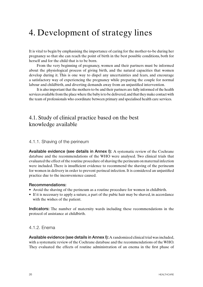# 4. Development of strategy lines

It is vital to begin by emphasising the importance of caring for the mother-to-be during her pregnancy so that she can reach the point of birth in the best possible conditions, both for herself and for the child that is to be born.

From the very beginning of pregnancy, women and their partners must be informed about the physiological process of giving birth, and the natural capacities that women develop during it. This is one way to dispel any uncertainties and fears, and encourage a satisfactory way of experiencing the pregnancy while preparing the couple for normal labour and childbirth, and diverting demands away from an unjustified intervention.

It is also important that the mothers-to-be and their partners are fully informed of the health services available from the place where the baby is to be delivered, and that they make contact with the team of professionals who coordinate between primary and specialised health care services.

# 4.1. Study of clinical practice based on the best knowledge available

#### 4.1.1. Shaving of the perineum

Available evidence (see details in Annex I): A systematic review of the Cochrane database and the recommendations of the WHO were analysed. Two clinical trials that evaluated the effect of the routine procedure of shaving the perineum on maternal infection were included. There is insufficient evidence to recommend the shaving of the perineum for women in delivery in order to prevent perineal infection. It is considered an unjustified practice due to the inconvenience caused.

#### Recommendations:

- Avoid the shaving of the perineum as a routine procedure for women in childbirth.
- If it is necessary to apply a suture, a part of the pubic hair may be shaved, in accordance with the wishes of the patient.

Indicators: The number of maternity wards including these recommendations in the protocol of assistance at childbirth.

#### 4.1.2. Enema

Available evidence (see details in Annex I): A randomized clinical trial was included, with a systematic review of the Cochrane database and the recommendations of the WHO. They evaluated the effects of routine administration of an enema in the first phase of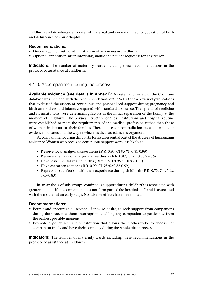childbirth and its relevance to rates of maternal and neonatal infection, duration of birth and dehiscence of episiorhaphy.

#### Recommendations:

- Discourage the routine administration of an enema in childbirth.
- Optional application, after informing, should the patient request it for any reason.

Indicators: The number of maternity wards including these recommendations in the protocol of assistance at childbirth.

#### 4.1.3. Accompaniment during the process

Available evidence (see details in Annex I): A systematic review of the Cochrane database was included, with the recommendations of the WHO and a review of publications that evaluated the effects of continuous and personalised support during pregnancy and birth on mothers and infants compared with standard assistance. The spread of medicine and its institutions were determining factors in the initial separation of the family at the moment of childbirth. The physical structure of these institutions and hospital routine were established to meet the requirements of the medical profession rather than those of women in labour or their families. There is a clear contradiction between what our evidence indicates and the way in which medical assistance is organised.

Accompaniment during childbirth forms an essential part of the strategy of humanizing assistance. Women who received continuous support were less likely to:

- Receive local analgesia/anaesthesia (RR: 0.90; CI 95 %: 0.81-0.99)
- Receive any form of analgesia/anaesthesia (RR: 0.87; CI 95 %: 0.79-0.96)
- Have instrumental vaginal births  $(RR: 0.89; CI 95 \%: 0.83-0.96)$
- Have caesarean sections (RR: 0.90; CI 95 %: 0.82-0.99)
- Express dissatisfaction with their experience during childbirth (RR:  $0.73$ ; CI 95 %: 0.65-0.83)

In an analysis of sub-groups, continuous support during childbirth is associated with greater benefits if the companion does not form part of the hospital staff and is associated with the mother at an early stage. No adverse effects have been noted.

#### Recommendations:

- Permit and encourage all women, if they so desire, to seek support from companions during the process without interruption, enabling any companion to participate from the earliest possible moment.
- Promote a policy within the institution that allows the mother-to-be to choose her companion freely and have their company during the whole birth process.

Indicators: The number of maternity wards including these recommendations in the protocol of assistance at childbirth.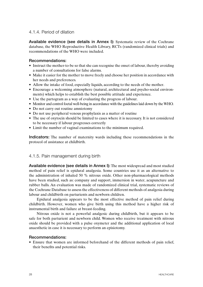#### 4.1.4. Period of dilation

Available evidence (see details in Annex I): Systematic review of the Cochrane database, the WHO Reproductive Health Library, RCTs (randomized clinical trials) and recommendations of the WHO were included.

#### Recommendations:

- Instruct the mother-to-be so that she can recognise the onset of labour, thereby avoiding a number of consultations for false alarms.
- Make it easier for the mother to move freely and choose her position in accordance with her needs and preferences.
- Allow the intake of food, especially liquids, according to the needs of the mother.
- Encourage a welcoming atmosphere (natural, architectural and psycho-social environments) which helps to establish the best possible attitude and experience.
- Use the partogram as a way of evaluating the progress of labour.
- Monitor and control foetal well-being in accordance with the guidelines laid down by the WHO.
- Do not carry out routine amniotomy
- Do not use peripheral venous prophylaxis as a matter of routine
- The use of oxytocin should be limited to cases where it is necessary. It is not considered to be necessary if labour progresses correctly
- Limit the number of vaginal examinations to the minimum required.

Indicators: The number of maternity wards including these recommendations in the protocol of assistance at childbirth.

#### 4.1.5. Pain management during birth

Available evidence (see details in Annex I): The most widespread and most studied method of pain relief is epidural analgesia. Some countries use it as an alternative to the administration of inhaled 50 % nitrous oxide. Other non-pharmacological methods have been studied, such as: company and support, immersion in water, acupuncture and rubber balls. An evaluation was made of randomized clinical trial, systematic reviews of the Cochrane Database to assess the effectiveness of different methods of analgesia during labour and childbirth on parturients and newborn children.

Epidural analgesia appears to be the most effective method of pain relief during childbirth. However, women who give birth using this method have a higher risk of instrumental birth and failure at breast-feeding.

Nitrous oxide is not a powerful analgesic during childbirth, but it appears to be safe for both parturient and newborn child. Women who receive treatment with nitrous oxide should be provided with a pulse oxymeter and the additional application of local anaesthetic in case it is necessary to perform an episiotomy.

#### Recommendations:

• Ensure that women are informed beforehand of the different methods of pain relief, their benefits and potential risks.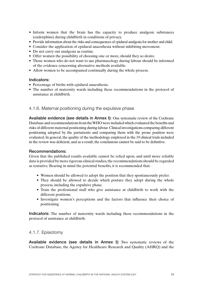- Inform women that the brain has the capacity to produce analgesic substances (endorphins) during childbirth in conditions of privacy.
- Provide information about the risks and consequences of epidural analgesia for mother and child.
- Consider the application of epidural anaesthesia without inhibiting movement.
- Do not carry out analgesia as routine.
- Offer women the possibility of choosing one or more, should they so desire.
- Those women who do not want to use pharmacology during labour should be informed of the evidence concerning alternative methods available.
- Allow women to be accompanied continually during the whole process.

#### Indicators:

- Percentage of births with epidural anaesthesia.
- The number of maternity wards including these recommendations in the protocol of assistance at childbirth.

4.1.6. Maternal positioning during the expulsive phase

Available evidence (see details in Annex I): One systematic review of the Cochrane Database and recommendations from the WHO were included which evaluated the benefits and risks of different maternal positioning during labour. Clinical investigations comparing different positioning adopted by the parturients and comparing them with the prone position were evaluated. In general, the quality of the methodology employed in the 19 clinical trials included in the review was deficient, and as a result, the conclusions cannot be said to be definitive.

#### Recommendations:

Given that the published results available cannot be relied upon, and until more reliable data is provided by more rigorous clinical studies, the recommendations should be regarded as tentative. Bearing in mind the potential benefits, it is recommended that:

- Women should be allowed to adopt the position that they spontaneously prefer.
- They should be allowed to decide which posture they adopt during the whole process, including the expulsive phase.
- Train the professional staff who give assistance at childbirth to work with the different positions.
- Investigate women's perceptions and the factors that influence their choice of positioning.

Indicators: The number of maternity wards including these recommendations in the protocol of assistance at childbirth.

#### 4.1.7. Episiotomy

Available evidence (see details in Annex I): Two systematic reviews of the Cochrane Database, the Agency for Healthcare Research and Quality (AHRQ) and the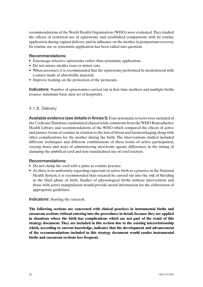recommendations of the World Health Organisation (WHO) were evaluated. They studied the effects of restricted use of episiotomy and established comparisons with its routine application during vaginal delivery and its influence on the mother in postpartum recovery. Its routine use or systematic application has been called into question.

#### Recommendations:

- Encourage selective episiotomy rather than systematic application.
- Do not suture smaller tears or minor cuts.
- When necessary, it is recommended that the episiotomy performed be mediolateral with a suture made of absorbable material.
- Improve training on the protection of the perineum.

Indicators: Number of episiotomies carried out in first-time mothers and multiple births (source: minimum basic data set of hospitals).

#### 4.1.8. Delivery

Available evidence (see details in Annex I): Four systematic reviews were included of the Cochrane Database, randomized clinical trials, comments from the WHO Reproductive Health Library and recommendations of the WHO which compared the effects of active and passive forms of conduct in relation to the loss of blood and haemorrhaging along with other complications for the mother during the birth. The interventions studied included different techniques and different combinations of these forms of active participation, varying doses and ways of administering uterotonic agents, differences in the timing of clamping the umbilical cord and non-standardised use of cord traction.

#### Recommendations:

- Do not clamp the cord with a pulse as routine practice.
- As there is no uniformity regarding expectant or active birth as a practice in the National Health System, it is recommended that research be carried out into the risk of bleeding in the third phase of birth. Studies of physiological births without intervention and those with active manipulation would provide useful information for the elaboration of appropriate guidelines.

Indicators: Starting the research.

**The following sections are concerned with clinical practices in instrumental births and caesarean sections without entering into the procedures in detail, because they are applied in situations where the birth has complications which are not part of the remit of this strategy document. They are included in this section due to the existing interrelationship which, according to current knowledge, indicates that the development and advancement of the recommendations included in this strategy document would render instrumental births and caesarean sections less frequent.**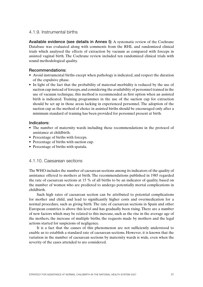#### 4.1.9. Instrumental births

Available evidence (see details in Annex I): A systematic review of the Cochrane Database was evaluated along with comments from the RHL and randomized clinical trials which analysed the effects of extraction by vacuum as compared with forceps in assisted vaginal birth. The Cochrane review included ten randomized clinical trials with sound methodological quality.

#### Recommendations:

- Avoid instrumental births except when pathology is indicated, and respect the duration of the expulsive phase.
- In light of the fact that the probability of maternal morbidity is reduced by the use of suction cup instead of forceps, and considering the availability of personnel trained in the use of vacuum technique, this method is recommended as first option when an assisted birth is indicated. Training programmes in the use of the suction cup for extraction should be set up in those areas lacking in experienced personnel. The adoption of the suction cup as the method of choice in assisted births should be encouraged only after a minimum standard of training has been provided for personnel present at birth.

#### Indicators:

- The number of maternity wards including these recommendations in the protocol of assistance at childbirth.
- Percentage of births with forceps.
- Percentage of births with suction cup.
- Percentage of births with spatula.

#### 4.1.10. Caesarean sections

The WHO includes the number of caesarean sections among its indicators of the quality of assistance offered to mothers at birth. The recommendations published in 1985 regarded the rate of caesarean sections at 15 % of all births to be an indicator of quality, based on the number of women who are predicted to undergo potentially mortal complications in childbirth.

Such high rates of caesarean section can be attributed to potential complications for mother and child, and lead to significantly higher costs and overmedication for a normal procedure, such as giving birth. The rate of caesarean sections in Spain and other European countries is above this level and has gradually been rising. There are a number of new factors which may be related to this increase, such as the rise in the average age of the mothers, the increase of multiple births, the requests made by mothers and the legal actions started for suspicions of negligence.

It is a fact that the causes of this phenomenon are not sufficiently understood to enable us to establish a standard rate of caesarean sections. However, it is known that the variation in the number of caesarean sections by maternity wards is wide, even when the severity of the cases attended to are considered.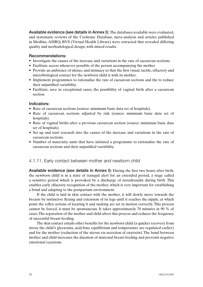Available evidence (see details in Annex I): The databases available were evaluated, and systematic reviews of the Cochrane Database, meta-analysis and articles published in Medline, AHRQ, BVS (Virtual Health Library) were extracted that revealed differing quality and methodological design, with mixed results.

#### Recommendations:

- Investigate the causes of the increase and variations in the rate of caesarean sections.
- Facilitate access whenever possible of the person accompanying the mother
- Provide an ambience of silence and intimacy so that the first visual, tactile, olfactory and microbiological contact for the newborn child is with its mother.
- Implement programmes to rationalise the rate of caesarean sections and the to reduce their unjustified variability.
- Facilitate, save in exceptional cases, the possibility of vaginal birth after a caesarean section.

#### Indicators:

- Rate of caesarean sections (source: minimum basic data set of hospitals).
- Rate of caesarean sections adjusted by risk (source: minimum basic data set of hospitals).
- Rate of vaginal births after a previous caesarean section (source: minimum basic data set of hospitals).
- Set up and start research into the causes of the increase and variations in the rate of caesarean sections.
- Number of maternity units that have initiated a programme to rationalise the rate of caesarean sections and their unjustified variability.

#### 4.1.11. Early contact between mother and newborn child

Available evidence (see details in Annex I): During the first two hours after birth, the newborn child is in a state of tranquil alert for an extended period, a stage called a sensitive period which is provoked by a discharge of noradrenalin during birth. This enables early olfactory recognition of the mother, which is very important for establishing a bond and adapting to the postpartum environment.

If the child is laid in skin contact with the mother, it will slowly move towards the breasts by instinctive flexing and extension of its legs until it reaches the nipple, at which point the reflex actions of locating it and sucking are set in motion correctly. This process cannot be forced, it must be spontaneous. It takes approximately 70 minutes in 90 % of cases. The separation of the mother and child alters this process and reduces the frequency of successful breast-feeding.

The skin contact entails other benefits for the newborn child (a quicker recovery from stress, the child's glycaemia, acid-base equilibrium and temperature are regulated earlier) and for the mother (reduction of the uterus via secretion of oxytocin). The bond between mother and child increases the duration of maternal breast-feeding and prevents negative emotional reactions.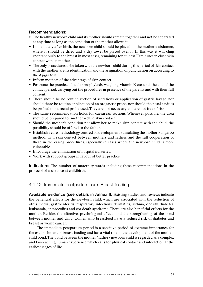#### Recommendations:

- The healthy newborn child and its mother should remain together and not be separated at any time as long as the condition of the mother allows it.
- Immediately after birth, the newborn child should be placed on the mother's abdomen, where it should be dried and a dry towel be placed over it. In this way it will cling spontaneously to the breast in most cases, remaining for at least 70 minutes in close skin contact with its mother.
- The only procedures to be taken with the newborn child during this period of skin contact with the mother are its identification and the assignation of punctuation on according to the Apgar test.
- Inform mothers of the advantage of skin contact.
- Postpone the practice of ocular prophylaxis, weighing, vitamin K etc. until the end of the contact period, carrying out the procedures in presence of the parents and with their full consent.
- There should be no routine suction of secretions or application of gastric lavage, nor should there be routine application of an orogastric probe, nor should the nasal cavities be probed nor a rectal probe used. They are not necessary and are not free of risk.
- The same recommendation holds for caesarean sections. Whenever possible, the area should be prepared for mother – child skin contact.
- Should the mother's condition not allow her to make skin contact with the child, the possibility should be offered to the father.
- Establish a care methodology centred on development, stimulating the mother-kangaroo method, with skin contact between mothers and fathers and the full cooperation of these in the caring procedures, especially in cases where the newborn child is more vulnerable.
- Encourage the elimination of hospital nurseries.
- Work with support groups in favour of better practice.

Indicators: The number of maternity wards including these recommendations in the protocol of assistance at childbirth.

#### 4.1.12. Immediate postpartum care. Breast-feeding

Available evidence (see details in Annex I): Existing studies and reviews indicate the beneficial effects for the newborn child, which are associated with the reduction of otitis media, gastroenteritis, respiratory infections, dermatitis, asthma, obesity, diabetes, leukaemia, enterocolitis and cot death syndrome. There are also beneficial effects for the mother. Besides the affective, psychological effects and the strengthening of the bond between mother and child, women who breastfeed have a reduced risk of diabetes and breast or womb cancer.

The immediate postpartum period is a sensitive period of extreme importance for the establishment of breast-feeding and has a vital role in the development of the motherchild bond. The bond between the mother / father / newborn child is regarded as a complex and far-reaching human experience which calls for physical contact and interaction at the earliest stages of life.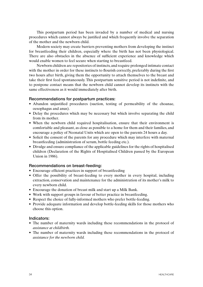This postpartum period has been invaded by a number of medical and nursing procedures which cannot always be justified and which frequently involve the separation of the mother and the newborn child.

Modern society may create barriers preventing mothers from developing the instinct for breastfeeding their children, especially where the birth has not been physiological. There are also obstacles in the absence of sufficient experience and knowledge which would enable women to feel secure when starting to breastfeed.

Newborn children are repositories of instincts, and require prolonged intimate contact with the mother in order for these instincts to flourish correctly, preferably during the first two hours after birth, giving them the opportunity to attach themselves to the breast and take their first feed spontaneously. This postpartum sensitive period is not indefinite, and to postpone contact means that the newborn child cannot develop its instincts with the same effectiveness as it would immediately after birth.

#### Recommendations for postpartum practices:

- Abandon unjustified procedures (suction, testing of permeability of the choanae, oesophagus and anus).
- Delay the procedures which may be necessary but which involve separating the child from its mother.
- When the newborn child required hospitalisation, ensure that their environment is comfortable and pleasant, as close as possible to a home for them and their families, and encourage a policy of Neonatal Units which are open to the parents 24 hours a day.
- Solicit the consent of the parents for any procedure which may interfere with maternal breastfeeding (administration of serum, bottle feeding etc.).
- Divulge and ensure compliance of the applicable guidelines for the rights of hospitalised children (Declaration of the Rights of Hospitalised Children passed by the European Union in 1986).

#### Recommendations on breast-feeding:

- Encourage efficient practices in support of breastfeeding
- Offer the possibility of breast-feeding to every mother in every hospital, including extraction, conservation and maintenance for the administration of its mother's milk to every newborn child.
- Encourage the donation of breast milk and start up a Milk Bank.
- Work with support groups in favour of better practice in breastfeeding.
- Respect the choice of fully-informed mothers who prefer bottle-feeding.
- Provide adequate information and develop bottle-feeding skills for those mothers who choose this option.

#### Indicators:

- The number of maternity wards including these recommendations in the protocol of *assistance at childbirth.*
- The number of maternity wards including these recommendations in the protocol of *assistance for the newborn child.*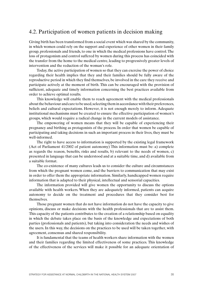### 4.2. Participation of women patients in decision making

Giving birth has been transformed from a social event which was shared by the community, in which women could rely on the support and experience of other women in their family group, professionals and friends, to one in which the medical professions have control. The loss of protagonism and control suffered by women during this process has coincided with the transfer from the home to the medical centre, leading to progressively greater levels of intervention and the reduction of the woman's role.

Today, the active participation of women so that they can exercise the power of choice regarding their health implies that they and their families should be fully aware of the reproductive period in which they find themselves, be involved in the care they receive and participate actively at the moment of birth. This can be encouraged with the provision of sufficient, adequate and timely information concerning the best practices available from order to achieve optimal results.

This knowledge will enable them to reach agreement with the medical professionals about the behaviour and care to be used, selecting them in accordance with their preferences, beliefs and cultural expectations. However, it is not enough merely to inform. Adequate institutional mechanisms must be created to ensure the effective participation of women's groups, which would require a radical change in the current models of assistance.

The empowering of women means that they will be capable of experiencing their pregnancy and birthing as protagonists of the process. In order that women be capable of participating and taking decisions in such an important process in their lives, they must be well-informed.

The right to have access to information is supported by the existing legal framework (Act of Parliament 41/2002 of patient autonomy) This information must be: a) complete as regards the reason, benefits, risks and results, b) relevant to the needs of women, c) presented in language that can be understood and at a suitable time, and d) available from a suitable format.

The co-existence of many cultures leads us to consider the culture and circumstances from which the pregnant women come, and the barriers to communication that may exist in order to offer them the appropriate information. Similarly, handicapped women require information that is adapted to their physical, intellectual and sensorial capacities.

The information provided will give women the opportunity to discuss the options available with health workers. When they are adequately informed, patients can acquire autonomy to decide on the treatment and procedures that they consider best for themselves.

Those pregnant women that do not have information do not have the capacity to give opinions, discuss or make decisions with the health professionals that are to assist them. This capacity of the patients contributes to the creation of a relationship based on equality in which the debate takes place on the basis of the knowledge and expectations of both parties (professionals and patients), but taking into consideration the needs and wishes of the users. In this way, the decisions on the practices to be used will be taken together, with agreement, consensus and shared responsibility.

It is fundamental that the teams of health workers share information with the women and their families regarding the limited effectiveness of some practices. This knowledge of the effectiveness of the services will make it possible for an adequate orientation of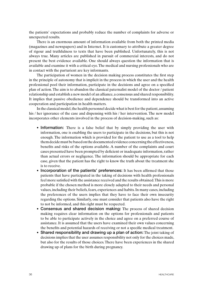the patients' expectations and probably reduce the number of complaints for adverse or unexpected results.

There is an enormous amount of information available from both the printed media (magazines and newspapers) and in Internet. It is customary to attribute a greater degree of rigour and truthfulness to texts that have been published. Unfortunately, this is not always true. Many articles are published in pursuit of commercial interests, and do not present the best evidence available. One should always question the information that is available and examine it with a critical eye. The medical and nursing professionals who are in contact with the parturient are key informants.

The participation of women in the decision making process constitutes the first step in the principle of autonomy that is implicit in the process in which the user and the health professional pool their information, participate in the decisions and agree on a specified plan of action. The aim is to abandon the classical paternalist model of the doctor / patient relationship and establish a new model of an alliance, a consensus and shared responsibility. It implies that passive obedience and dependence should be transformed into an active cooperation and participation in health matters.

In the classical model, the health personnel decide what is best for the patient, assuming his / her ignorance of the case and dispensing with his / her intervention. The new model incorporates other elements involved in the process of decision-making, such as:

- Information: There is a false belief that by simply providing the user with information, one is enabling the users to participate in the decisions, but this is not enough. The information which is provided for the patient to use as a tool to help them decide must be based on the documented evidence concerning the effectiveness, benefits and risks of the options available. A number of the complaints and court cases presented have been prompted by deficient or inadequate information, rather than actual errors or negligence. The information should be appropriate for each case, given that the patient has the right to know the truth about the treatment she is to receive.
- Incorporation of the patients' preferences: It has been affirmed that those patients that have participated in the taking of decisions with health professionals feel more satisfied with the assistance received and the results obtained. This is more probable if the chosen method is more closely adapted to their needs and personal values, including their beliefs, fears, experiences and habits. In many cases, including the preferences of the users implies that they have to face their own insecurity regarding the options. Similarly, one must consider that patients also have the right to not be informed, and this right must be respected.
- Consensus and shared decision making: The process of shared decision making requires clear information on the options for professionals and patients to be able to participate actively in the choice and agree on a preferred course of assistance. It is assumed that the users have examined their own values concerning the benefits and potential hazards of receiving or not a specific medical treatment.
- Shared responsibility and drawing up a plan of action: The joint taking of decisions implies that the user assumes responsibility not only for the choices made, but also for the results of those choices. There have been experiences in the shared drawing up of plans for the birth during pregnancy.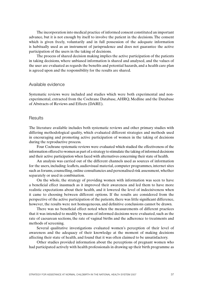The incorporation into medical practice of informed consent constituted an important advance, but it is not enough by itself to involve the patient in the decisions. The consent which is given freely, voluntarily and in full possession of the adequate information is habitually used as an instrument of jurisprudence and does not guarantee the active participation of the users in the taking of decisions.

The process of shared decision making implies the active participation of the patients in taking decisions, where unbiased information is shared and analysed, and the values of the user are evaluated as regards the benefits and potential hazards, and a health care plan is agreed upon and the responsibility for the results are shared.

#### Available evidence

Systematic reviews were included and studies which were both experimental and nonexperimental, extracted from the Cochrane Database, AHRQ, Medline and the Database of Abstracts of Reviews and Effects (DARE).

#### **Results**

The literature available includes both systematic reviews and other primary studies with differing methodological quality, which evaluated different strategies and methods used in encouraging and promoting active participation of women in the taking of decisions during the reproductive process.

Four Cochrane systematic reviews were evaluated which studied the effectiveness of the information offered to women as part of a strategy to stimulate the taking of informed decisions and their active participation when faced with alternatives concerning their state of health.

An analysis was carried out of the different channels used as sources of information for the users, including: leaflets, audiovisual material, computer programmes, internet sites such as forums, counselling, online consultancies and personalised risk assessment, whether separately or used in combination.

On the whole, the strategy of providing women with information was seen to have a beneficial effect inasmuch as it improved their awareness and led them to have more realistic expectations about their health, and it lowered the level of indecisiveness when it came to choosing between different options. If the results are considered from the perspective of the active participation of the patients, there was little significant difference, however, the results were not homogeneous, and definitive conclusions cannot be drawn.

There was no beneficial effect noted when the measurements of different practices that it was intended to modify by means of informed decisions were evaluated, such as the rate of caesarean sections, the rate of vaginal births and the adherence to treatments and methods of screening.

Several qualitative investigations evaluated women's perception of their level of awareness and the adequacy of their knowledge at the moment of making decisions affecting their state of health, and found that it was often claimed to be unsatisfactory.

Other studies provided information about the perceptions of pregnant women who had participated actively with health professionals in drawing up their birth programme as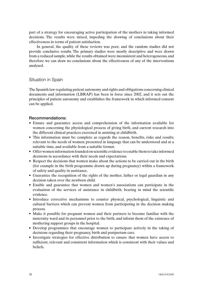part of a strategy for encouraging active participation of the mothers in taking informed decisions. The results were mixed, impeding the drawing of conclusions about their effectiveness in terms of patient satisfaction.

In general, the quality of these reviews was poor, and the random studies did not provide conclusive results. The primary studies were mostly descriptive and were drawn from a reduced sample, while the results obtained were inconsistent and heterogeneous, and therefore we can draw no conclusions about the effectiveness of any of the interventions analysed.

#### Situation in Spain

The Spanish law regulating patient autonomy and rights and obligations concerning clinical documents and information (LBRAP) has been in force since 2002, and it sets out the principles of patient autonomy and establishes the framework in which informed consent can be applied.

#### Recommendations:

- Ensure and guarantee access and comprehension of the information available for women concerning the physiological process of giving birth, and current research into the different clinical practices exercised in assisting at childbirth.
- This information must be: complete as regards the reason, benefits, risks and results; relevant to the needs of women; presented in language that can be understood and at a suitable time, and available from a suitable format.
- Offer women information founded on scientific evidence to enable them to take informed decisions in accordance with their needs and expectations.
- Respect the decisions that women make about the actions to be carried out in the birth (for example in the birth programme drawn up during pregnancy) within a framework of safety and quality in assistance.
- Guarantee the recognition of the rights of the mother, father or legal guardian in any decision taken over the newborn child.
- Enable and guarantee that women and women's associations can participate in the evaluation of the services of assistance in childbirth, bearing in mind the scientific evidence.
- Introduce corrective mechanisms to counter physical, psychological, linguistic and cultural barriers which can prevent women from participating in the decision making process.
- Make it possible for pregnant women and their partners to become familiar with the maternity ward and its personnel prior to the birth, and inform them of the existence of mothering support groups in the hospital.
- Develop programmes that encourage women to participate actively in the taking of decisions regarding their pregnancy, birth and postpartum care.
- Investigate strategies for effective distribution to ensure that women have access to sufficient, relevant and consistent information which is consistent with their values and beliefs.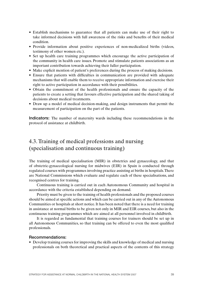- Establish mechanisms to guarantee that all patients can make use of their right to take informed decisions with full awareness of the risks and benefits of their medical condition.
- Provide information about positive experiences of non-medicalized births (videos, testimony of other women etc.).
- Set up health care training programmes which encourage the active participation of the community in health care issues. Promote and stimulate patients associations as an important contribution towards achieving their fuller participation.
- Make explicit mention of patient's preferences during the process of making decisions.
- Ensure that patients with difficulties in communication are provided with adequate mechanisms that will enable them to receive appropriate information and exercise their right to active participation in accordance with their possibilities.
- Obtain the commitment of the health professionals and ensure the capacity of the patients to create a setting that favours effective participation and the shared taking of decisions about medical treatments.
- Draw up a model of medical decision-making, and design instruments that permit the measurement of participation on the part of the patients.

Indicators: The number of maternity wards including these recommendations in the protocol of assistance at childbirth.

### 4.3. Training of medical professions and nursing (specialisation and continuous training)

The training of medical specialisation (MIR) in obstetrics and gynaecology, and that of obstetric-gynaecological nursing for midwives (EIR) in Spain is conducted through regulated courses with programmes involving practice assisting at births in hospitals. There are National Commissions which evaluate and regulate each of these specialisations, and recognised centres for training.

Continuous training is carried out in each Autonomous Community and hospital in accordance with the criteria established depending on demand.

Priority must be given to the training of health professionals and the proposed courses should be aimed at specific actions and which can be carried out in any of the Autonomous Communities or hospitals at short notice. It has been noted that there is a need for training in assistance at normal births to be given not only in MIR and EIR courses, but also in the continuous training programmes which are aimed at all personnel involved in childbirth.

It is regarded as fundamental that training courses for trainers should be set up in all Autonomous Communities, so that training can be offered to even the most qualified professionals.

#### Recommendations:

• Develop training courses for improving the skills and knowledge of medical and nursing professionals on both theoretical and practical aspects of the contents of this strategy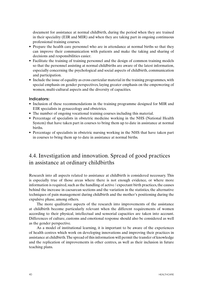document for assistance at normal childbirth, during the period when they are trained in their speciality (EIR and MIR) and when they are taking part in ongoing continuous professional training courses.

- Prepare the health care personnel who are in attendance at normal births so that they can improve their communication with patients and make the taking and sharing of decisions and responsibilities easier.
- Facilitate the training of training personnel and the design of common training models so that the personnel assisting at normal childbirths are aware of the latest information, especially concerning the psychological and social aspects of childbirth, communication and participation.
- Include the issue of equality as cross curricular material in the training programmes, with special emphasis on gender perspectives, laying greater emphasis on the empowering of women, multi-cultural aspects and the diversity of capacities.

#### Indicators:

- Inclusion of these recommendations in the training programme designed for MIR and EIR specialists in gynaecology and obstetrics.
- The number of ongoing vocational training courses including this material.
- Percentage of specialists in obstetric medicine working in the NHS (National Health) System) that have taken part in courses to bring them up to date in assistance at normal births.
- Percentage of specialists in obstetric nursing working in the NHS that have taken part in courses to bring them up to date in assistance at normal births.

### 4.4. Investigation and innovation. Spread of good practices in assistance at ordinary childbirths

Research into all aspects related to assistance at childbirth is considered necessary. This is especially true of those areas where there is not enough evidence, or where more information is required, such as the handling of active / expectant birth practices, the causes behind the increase in caesarean sections and the variation in the statistics, the alternative techniques of pain management during childbirth and the mother's positioning during the expulsive phase, among others.

The more qualitative aspects of the research into improvements of the assistance at childbirth become particularly relevant when the different requirements of women according to their physical, intellectual and sensorial capacities are taken into account. Differences of culture, customs and emotional response should also be considered as well as the gender perspective.

As a model of institutional learning, it is important to be aware of the experiences of health centres which work on developing innovations and improving their practices in assistance at childbirth. The spread of this information will permit the transfer of knowledge and the replication of improvements in other centres, as well as their inclusion in future teaching plans.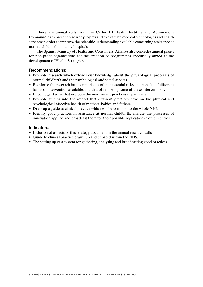There are annual calls from the Carlos III Health Institute and Autonomous Communities to present research projects and to evaluate medical technologies and health services in order to improve the scientific understanding available concerning assistance at normal childbirth in public hospitals.

The Spanish Ministry of Health and Consumers' Affaires also concedes annual grants for non-profit organizations for the creation of programmes specifically aimed at the development of Health Strategies.

#### Recommendations:

- Promote research which extends our knowledge about the physiological processes of normal childbirth and the psychological and social aspects.
- Reinforce the research into comparisons of the potential risks and benefits of different forms of intervention available, and that of removing some of these interventions.
- Encourage studies that evaluate the most recent practices in pain relief.
- Promote studies into the impact that different practices have on the physical and psychological-affective health of mothers, babies and fathers.
- Draw up a guide to clinical practice which will be common to the whole NHS.
- Identify good practices in assistance at normal childbirth, analyse the processes of innovation applied and broadcast them for their possible replication in other centres.

#### Indicators:

- Inclusion of aspects of this strategy document in the annual research calls.
- Guide to clinical practice drawn up and debated within the NHS.
- The setting up of a system for gathering, analysing and broadcasting good practices.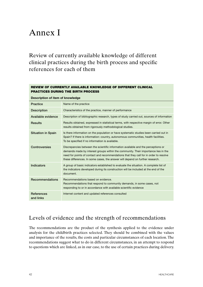# Annex I

Review of currently available knowledge of different clinical practices during the birth process and specific references for each of them

### REVIEW OF CURRENTLY AVAILABLE KNOWLEDGE OF DIFFERENT CLINICAL PRACTICES DURING THE BIRTH PROCESS **Description of item of knowledge Practice** Name of the practice **Description** Characteristics of the practice, manner of performance Available evidence Description of bibliographic research, types of study carried out, sources of information Results Results obtained, expressed in statistical terms, with respective margin of error. Other results obtained from rigorously methodological studies. Situation in Spain Is there information on the population or have systematic studies been carried out in Spain? If there is information: country, autonomous communities, health facilities. To be specified if no information is available. Controversies Discrepancies between the scientific information available and the perceptions or demands made by interest groups within the community. Their importance lies in the need for points of contact and recommendations that they call for in order to resolve these differences. In some cases, the answer will depend on further research. Indicators A group of basic indicators established to evaluate the situation. A complete list of the indicators developed during its construction will be included at the end of the document. Recommendations Recommendations based on evidence. Recommendations that respond to community demands, in some cases, not responding to or in accordance with available scientific evidence **References** and links Internet content and updated references consulted

## Levels of evidence and the strength of recommendations

The recommendations are the product of the synthesis applied to the evidence under analysis for the childbirth practices selected. They should be combined with the values and importance of the results, the costs and particular circumstances of each location. The recommendations suggest what to do in different circumstances, in an attempt to respond to questions which are linked, as in our case, to the use of certain practices during delivery.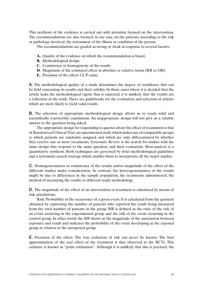This synthesis of the evidence is carried out with attention focused on the intervention. The recommendations are also focused, in our case, on the patients, according to the risk or pathology involved, the seriousness of the illness or condition of the person.

The recommendations are graded as strong or weak in response to several factors:

- **A.** Quality of the evidence on which the recommendation is based.
- **B.** Methodological design
- **C.** Consistency or homogeneity of the results
- **D.** Magnitude of the estimated effect in absolute or relative terms (RR or OR).
- **E.** Precision of the effect: CI, P-value.

A. The methodological quality of a study determines the degree of confidence that can be held concerning its results and their validity. In those cases where it is decided that the article lacks the methodological rigour that is expected, it is unlikely that the results are a reflection of the truth. There are guidebooks for the evaluation and selection of articles which are more likely to yield valid results.

B. The selection of appropriate methodological design allows us to reach solid and scientifically trustworthy conclusions. An inappropriate design will not give us a reliable answer to the question being asked.

The appropriate design for responding to queries about the effect of treatments is that of *Randomized Clinical Trial,* an experimental study which makes use of comparable groups to which patients are randomly assigned, and which are only differentiated by whether they receive one or more treatments. *Systematic Review* is the search for studies with the same design that respond to the same question, and their evaluation. *Meta-analysis* is a quantitative synthesis. Both techniques are governed by strict methodological guidelines and a systematic search strategy which enables them to incorporate all the major studies.

C. Homogeneousness or consistency of the results and/or magnitude of the effect of the different studies under consideration. In contrast, the heterogeneousness of the results might be due to differences in the sample population, the treatments administered, the method of measuring the results or different study methodology.

D. The magnitude of the effect of an intervention or treatment is calculated by means of risk calculations.

Risk: Probability of the occurrence of a given event. It is calculated from the quotient obtained by expressing the number of patients who reported the result being measured from the total number of patients in the group. RR is defined as the ratio of the risk of an event occurring in the experimental group and the risk of the event occurring in the control group. In other words the RR shows us the magnitude of the association between exposure and result and indicates the probability of the event developing in the exposed group in relation to the unexposed group.

E. Precision of the effect: The true reduction of risk can never be known. The best approximation of the real effect of the treatment is that observed in the RCTs. This estimate is known as "point estimation". Although it is unlikely that this is precisely the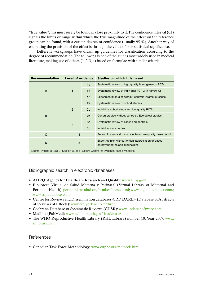"true value", this must surely be found in close proximity to it. The confidence interval (CI) signals the limits or range within which the true magnitude of the effect on the reference group can be found, with a certain degree of confidence (usually 95 %). Another way of estimating the precision of the effect is through the value of p or statistical significance.

Different workgroups have drawn up guidelines for classification according to the degree of recommendation. The following is one of the guides most widely used in medical literature, making use of others (1, 2, 3, 4) based on formulae with similar criteria.

| <b>Recommendation</b> | <b>Level of evidence</b> |                | <b>Studies on which it is based</b>                                                       |
|-----------------------|--------------------------|----------------|-------------------------------------------------------------------------------------------|
| A                     | 1                        | 1a             | Systematic review of high quality homogeneous RCTs                                        |
|                       |                          | 1b             | Systematic review of individual RCT with narrow CI                                        |
|                       |                          | 1c             | Experimental studies without controls (dramatic results)                                  |
| B                     | $\overline{2}$           | 2a             | Systematic review of cohort studies                                                       |
|                       |                          | 2 <sub>b</sub> | Individual cohort study and low quality RCTs                                              |
|                       |                          | 2c             | Cohort studies without controls / Ecological studies                                      |
|                       | 3                        | 3a             | Systematic review of cases and controls                                                   |
|                       |                          | 3 <sub>b</sub> | Individual case control                                                                   |
| C                     | $\overline{4}$           |                | Series of cases and cohort studies or low quality case control                            |
| D                     | 5                        |                | Expert opinion without critical appreciation or based<br>on psychopathological principles |

Source: Phillips B, Ball C, Sackett D, et al. Oxford Centre for Evidence-based Medicine

#### Bibliographic search in electronic databases

- AHRQ: Agency for Healthcare Research and Quality: www.ahrq.gov/
- Biblioteca Virtual de Salud Materna y Perinatal (Virtual Library of Maternal and Perinatal Health): perinatal.bvsalud.org/html/es/home.html; www.ingentaconnect.com/; www.tripdatabase.com/
- Centre for Reviews and Dissemination databases-CRD DARE (Database of Abstracts of Reviews of Effects): www.crd.york.ac.uk/crdweb/
- Cochrane Database of Systematic Reviews (CDSR): www.update-software.com
- Medline (PubMed): www.ncbi.nlm.nih.gov/sites/entrez
- The WHO Reproductive Health Library (RHL Library) number 10. Year 2007: www. rhlibrary.com

#### References

• Canadian Task Force Methodology: www.ctfphc.org/methods.htm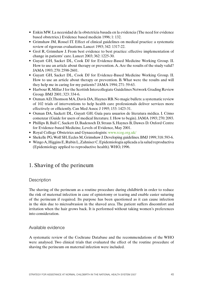- Enkin MW. La necesidad de la obstetricia basada en la evidencia (The need for evidence based obstetrics.) Evidence based medicin 1996; 1: 132.
- Grimshaw JM, Rossel IT. Effect of clinical guidelines on medical practice: a systematic review of rigorous evaluations. Lancet 1993; 342: 1317-22.
- Grol R, Grimshaw J. From best evidence to best practice: effective implementation of change in patients' care. Lancet 2003; 362: 1225-30.
- • Guyatt GH, Sacket DL, Cook DJ for Evidence-Based Medicine Working Group. II. How to use an article about therapy or prevention. A. Are the results of the study valid? JAMA 1993; 270: 2598-2601.
- • Guyatt GH, Sacket DL, Cook DJ for Evidence-Based Medicine Working Group. II. How to use an article about therapy or prevention. B. What were the results and will they help me in caring for my patients? JAMA 1994; 271: 59-63.
- Harbour R, Millar J for the Scottish Intercollegiate Guidelines Network Grading Review Group. BMJ 2001; 323: 334-6.
- Oxman AD, Thomson MA, Davis DA, Haynes RB. No magic bullets: a systematic review of 102 trials of interventions to help health care professionals deliver services more effectively or efficiently. Can Med Assoc J 1995; 153: 1423-31.
- • Oxman DA, Sackett DL, Guyatt GH. Guía para usuarios de literatura médica. I. Cómo comenzar (Guide for users of medical literature. I. How to begin). JAMA 1993; 270: 2093.
- • Phillips B, Ball C, Sackett D, Badenoch D, Straus S, Haynes B, Dawes D. Oxford Centre for Evidence-based Medicine, Levels of Evidence, May 2001.
- Royal College Obstetrics and Gynaecologists: www.rcog.org.uk/
- Shekelle PG, Wolf SH, Eccles M, Grimshaw J. Developing guidelines. BMJ 1999; 318: 593-6.
- • WingoA,Higgins E,RubinL,Zahniser C.Epidemiología aplicada a la salud reproductiva (Epidemiology applied to reproductive health). WHO, 1996.

### 1. Shaving of the perineum

#### **Description**

The shaving of the perineum as a routine procedure during childbirth in order to reduce the risk of maternal infection in case of episiotomy or tearing and enable easier suturing of the perineum if required. Its purpose has been questioned as it can cause infection in the skin due to microabrasion in the shaved area. The patient suffers discomfort and irritation when the hair grows back. It is performed without taking women's preferences into consideration.

Available evidence

A systematic review of the Cochrane Database and the recommendations of the WHO were analysed. Two clinical trials that evaluated the effect of the routine procedure of shaving the perineum on maternal infection were included.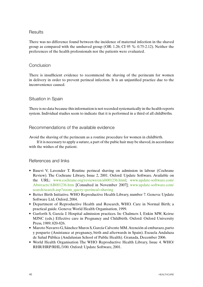#### **Results**

There was no difference found between the incidence of maternal infection in the shaved group as compared with the unshaved group (OR: 1.26; CI 95 %: 0.75-2.12). Neither the preferences of the health professionals nor the patients were evaluated.

#### Conclusion

There is insufficient evidence to recommend the shaving of the perineum for women in delivery in order to prevent perineal infection. It is an unjustified practice due to the inconvenience caused.

#### Situation in Spain

There is no data because this information is not recorded systematically in the health reports system. Individual studies seem to indicate that it is performed in a third of all childbirths.

#### Recommendations of the available evidence

Avoid the shaving of the perineum as a routine procedure for women in childbirth.

If it is necessary to apply a suture, a part of the pubic hair may be shaved, in accordance with the wishes of the patient.

#### References and links

- Basevi V, Lavender T. Routine perineal shaving on admission in labour (Cochrane Review). The Cochrane Library, Issue 2, 2001. Oxford: Update Software. Available on the URL: www.cochrane.org/reviews/en/ab001236.html; www.update-software.com/ Abstracts/AB001236.htm [Consulted in November 2007]; www.update-software.com/ search/search.asp?zoom\_query=perineal+shaving
- Better Birth Initiative. WHO Reproductive Health Library, number 7. Geneva: Update Software Ltd, Oxford, 2004.
- Department of Reproductive Health and Research, WHO. Care in Normal Birth; a practical guide. Geneva: World Health Organisation, 1999.
- • Garforth S, García J. Hospital admission practices. In: Chalmers I, Enkin MW, Keirse MJNC (eds.) Effective care in Pregnancy and Childbirth. Oxford: Oxford University Press, 1989; 820-826.
- • Maroto Navarro G,Sánchez Muros S,García Calvente MM.Atención al embarazo,parto y posparto (Assistance at pregnancy, birth and afterwards in Spain). Escuela Andaluza de Salud Pública (Andalusian School of Public Health). Granada, December 2006.
- World Health Organisation The WHO Reproductive Health Library, Issue 4. WHO/ RHR/HRP/RHL/3/00. Oxford: Update Software, 2001.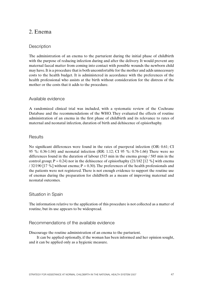## 2. Enema

### **Description**

The administration of an enema to the parturient during the initial phase of childbirth with the purpose of reducing infection during and after the delivery. It would prevent any maternal faecal matter from coming into contact with possible wounds the newborn child may have. It is a procedure that is both uncomfortable for the mother and adds unnecessary costs to the health budget. It is administered in accordance with the preferences of the health professional who assists at the birth without consideration for the distress of the mother or the costs that it adds to the procedure.

#### Available evidence

A randomized clinical trial was included, with a systematic review of the Cochrane Database and the recommendations of the WHO. They evaluated the effects of routine administration of an enema in the first phase of childbirth and its relevance to rates of maternal and neonatal infection, duration of birth and dehiscence of episiorhaphy.

#### **Results**

No significant differences were found in the rates of puerperal infection (OR: 0.61; CI 95 %: 0.36-1.04) and neonatal infection (RR: 1.12; CI 95 %: 0.76-1.66) There were no differences found in the duration of labour (515 min in the enema group / 585 min in the control group;  $P = 0.24$ ) nor in the dehiscence of episiorhaphy (21/182 [12 %] with enema / 32/190 [17 %] without enema;  $P = 0.30$ ). The preferences of the health professionals and the patients were not registered. There is not enough evidence to support the routine use of enemas during the preparation for childbirth as a means of improving maternal and neonatal outcomes.

#### Situation in Spain

The information relative to the application of this procedure is not collected as a matter of routine, but its use appears to be widespread.

#### Recommendations of the available evidence

Discourage the routine administration of an enema to the parturient.

It can be applied optionally, if the woman has been informed and her opinion sought, and it can be applied only as a hygienic measure.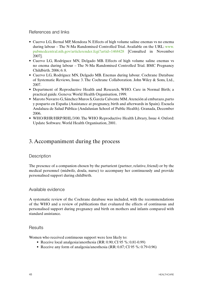#### References and links

- Cuervo LG, Bernal MP, Mendoza N. Effects of high volume saline enemas vs no enema during labour – The N-Ma Randomised Controlled Trial. Available on the URL: www. pubmedcentral.nih.gov/articlerender.fcgi?artid=1468428 [Consulted in November 2007].
- Cuervo LG, Rodríguez MN, Delgado MB. Effects of high volume saline enemas vs no enema during labour – The N-Ma Randomised Controlled Trial. BMC Pregnancy Childbirth. 2006; 6: 8.
- Cuervo LG, Rodríguez MN, Delgado MB. Enemas during labour. Cochrane Database of Systematic Reviews, Issue 3. The Cochrane Collaboration. John Wiley & Sons, Ltd., 2007.
- Department of Reproductive Health and Research, WHO. Care in Normal Birth; a practical guide. Geneva: World Health Organisation, 1999.
- • Maroto Navarro G,Sánchez Muros S,García Calvente MM.Atención al embarazo,parto y posparto en España (Assistance at pregnancy, birth and afterwards in Spain). Escuela Andaluza de Salud Pública (Andalusian School of Public Health). Granada, December 2006.
- WHO/RHR/HRP/RHL/3/00. The WHO Reproductive Health Library, Issue 4. Oxford: Update Software. World Health Organisation, 2001.

### 3. Accompaniment during the process

#### **Description**

The presence of a companion chosen by the parturient (partner, relative, friend) or by the medical personnel (midwife, doula, nurse) to accompany her continuously and provide personalised support during childbirth.

#### Available evidence

A systematic review of the Cochrane database was included, with the recommendations of the WHO and a review of publications that evaluated the effects of continuous and personalised support during pregnancy and birth on mothers and infants compared with standard assistance.

#### **Results**

Women who received continuous support were less likely to:

- Receive local analgesia/anesthesia (RR: 0.90; CI 95 %: 0.81-0.99)
- Receive any form of analgesia/anesthesia (RR: 0.87; CI 95 %: 0.79-0.96)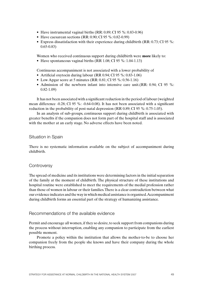- Have instrumental vaginal births  $(RR: 0.89; CI 95 \%: 0.83-0.96)$
- Have caesarean sections  $(RR: 0.90; CI 95 \%: 0.82-0.99)$
- Express dissatisfaction with their experience during childbirth (RR:  $0.73$ ; CI 95 %: 0.65-0.83)

Women who received continuous support during childbirth were **more** likely to:

• Have spontaneous vaginal births (RR  $1.08$ ; CI 95 %: 1.04-1.13)

Continuous accompaniment is not associated with a lower probability of

- Artificial oxytocin during labour (RR 0.94; CI 95 %: 0.83-1.06)
- Low Apgar score at 5 minutes (RR:  $0.81$ ; CI 95 %:  $0.56-1.16$ )
- Admission of the newborn infant into intensive care unit.  $(RR: 0.94; CI 95 \%$ : 0.82-1.09)

It has not been associated with a significant reduction in the period of labour (weighted mean difference -0.28; CI 95 %: -0.64-0.08). It has not been associated with a significant reduction in the probability of post-natal depression (RR 0.89; CI 95 %: 0.75-1.05).

In an analysis of sub-groups, continuous support during childbirth is associated with greater benefits if the companion does not form part of the hospital staff and is associated with the mother at an early stage. No adverse effects have been noted.

#### Situation in Spain

There is no systematic information available on the subject of accompaniment during childbirth.

#### **Controversy**

The spread of medicine and its institutions were determining factors in the initial separation of the family at the moment of childbirth. The physical structure of these institutions and hospital routine were established to meet the requirements of the medial profession rather than those of women in labour or their families. There is a clear contradiction between what our evidence indicates and the way in which medical assistance is organised. Accompaniment during childbirth forms an essential part of the strategy of humanizing assistance.

#### Recommendations of the available evidence

Permit and encourage all women, if they so desire, to seek support from companions during the process without interruption, enabling any companion to participate from the earliest possible moment.

Promote a policy within the institution that allows the mother-to-be to choose her companion freely from the people she knows and have their company during the whole birthing process.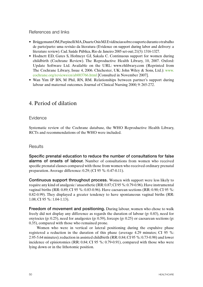#### References and links

- Brüggemann OM, Parpinelli MA, Duarte Osis MJ. Evidências sobre o suporte durante o trabalho de parto/parto: uma revisão da literatura (Evidence on support during labor and delivery: a literature review). Cad. Saúde Pública, Rio de Janeiro 2005 set-out; 21(5): 1316-1327.
- Hodnett ED, Gates S, Hofmeyr GJ, Sakala C. Continuous support for women during childbirth (Cochrane Review). The Reproductive Health Library, 10, 2007. Oxford: Update Software Ltd. Available on the URL: www.rhlibrary.com (Reprinted from The Cochrane Library, Issue 4, 2006. Chichester, UK: John Wiley & Sons, Ltd.): www. cochrane.org/reviews/en/ab003766.html [Consulted in November 2007].
- Wan Yim IP BN, M Phil, RN, RM. Relationships between partner's support during labour and maternal outcomes. Journal of Clinical Nursing 2000; 9: 265-272.

### 4. Period of dilation

#### **Evidence**

Systematic review of the Cochrane database, the WHO Reproductive Health Library, RCTs and recommendations of the WHO were included.

#### **Results**

Specific prenatal education to reduce the number of consultations for false alarms of onsets of labour. Number of consultations from women who received specific prenatal classes compared with those from women who received ordinary prenatal preparation. Average difference: 0.29; (CI 95 %: 0.47-0.11).

Continuous support throughout process. Women with support were less likely to require any kind of analgesic / anaesthetic (RR: 0.87; CI 95 %: 0.79-0.96). Have instrumental vaginal births (RR: 0.89; CI 95 %: 0.83-0.96). Have caesarean sections (RR: 0.90; CI 95 %: 0.82-0.99). They displayed a greater tendency to have spontaneous vaginal births (RR: 1.08; CI 95 %: 1.04-1.13).

Freedom of movement and positioning. During labour, women who chose to walk freely did not display any difference as regards the duration of labour (p: 0.83), need for oxytocics (p:  $0.25$ ), need for analgesics (p:  $0.59$ ), forceps (p:  $0.25$ ) or caesarean sections (p: 0.35), compared with those who remained prone.

Women who were in vertical or lateral positioning during the expulsive phase registered a reduction in the duration of this phase (average 4.29 minutes; CI 95 %: 2.95-5.64 minutes); reduction in assisted childbirth (RR: 0.84; CI 95 %: 0.73-0.98) and lower incidence of episiotomies (RR: 0.84; CI 95 %: 0.79-0.91), compared with those who were lying down or in the lithotomic position.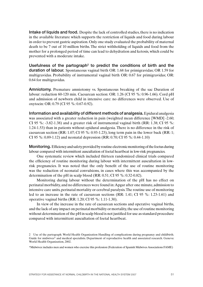Intake of liquids and food. Despite the lack of controlled studies, there is no indication in the available literature which supports the restriction of liquids and food during labour in order to prevent gastric aspiration. Only one study evaluated the probability of maternal death to be 7 out of 10 million births. The strict withholding of liquids and food from the mother for a prolonged period of time can lead to dehydration and ketosis, which could be prevented with a moderate intake.

Usefulness of the partograph<sup>2</sup> to predict the conditions of birth and the duration of labour. Spontaneous vaginal birth OR: 1.68 for primigravidas; OR 1.59 for multigravidas. Probability of instrumental vaginal birth OR: 0.67 for primigravidas; OR: 0.64 for multigravidas.

Amniotomy. Premature amniotomy vs. Spontaneous breaking of the sac Duration of labour: reduction 60-120 min. Caesarean section: OR: 1.26 (CI 95 %: 0.96-1.66). Cord pH and admission of newborn child in intensive care: no differences were observed. Use of oxytocin: OR: 0.79 (CI 95 %: 0.67-0.92).

Information and availability of different methods of analgesia. Epidural analgesia was associated with a greater reduction in pain (weighted mean difference [WMD] -2.60; CI 95 %: -3.82-1.38) and a greater risk of instrumental vaginal birth  $(RR: 1.38; CI 95$  %: 1.24-1.53) than in patients without epidural analgesia. There is no difference in the risk of caesarean section (RR: 1.07; CI 95 %: 0.93-1.23), long term pain in the lower back (RR: 1; CI 95 %: 0.89-1.12) and neonatal depression (RR: 0.70; CI 95 %: 0.44-1.10)

Monitoring. Efficiency and safety provided by routine electronic monitoring of the foetus during labour compared with intermittent auscultation of foetal heartbeat in low-risk pregnancies.

One systematic review which included thirteen randomized clinical trials compared the efficiency of routine monitoring during labour with intermittent auscultation in lowrisk pregnancies. It was noted that the only benefit of the use of routine monitoring was the reduction of neonatal convulsions, in cases where this was accompanied by the determination of the pH in scalp blood (RR: 0.51; CI 95 %: 0.32-0.82).

Monitoring during labour without the determination of the pH has no effect on perinatal morbidity, and no differences were found in: Apgar after one minute, admission to intensive care units, perinatal mortality or cerebral paralysis. The routine use of monitoring led to an increase in the rate of caesarean sections (RR: 1.41; CI 95 %: 1.23-1.61) and operative vaginal births (RR: 1.20; CI 95 %: 1.11-1.30).

In view of the increase in the rate of caesarean sections and operative vaginal births, and the lack of any impact on perinatal morbidity or mortality, the use of routine monitoring without determination of the pH in scalp blood is not justified for use as standard procedure compared with intermittent auscultation of foetal heartbeat.

<sup>2</sup> Use of the partograph. World Health Organization Handling of complications during pregnancy and childbirth. Guide for midwives\* and medical specialists. Department of reproductive health and associated research. Geneva: World Health Organization, 2002.

<sup>\*</sup>Midwives: includes men and women who exercise this profession (Federation of Spanish Midwives Associations FAME)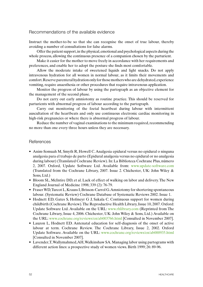#### Recommendations of the available evidence

Instruct the mother-to-be so that she can recognise the onset of true labour, thereby avoiding a number of consultations for false alarms.

Offer the patient support, in the physical, emotional and psychological aspects during the whole process, allowing the continuous presence of a companion chosen by the parturient.

Make it easier for the mother to move freely in accordance with her requirements and preferences, and enable her to adopt the posture she finds most comfortable.

Allow the moderate intake of sweetened liquids and light snacks. Do not apply intravenous hydration for all women in normal labour, as it limits their movements and comfort. Reserve parenteral hydration only for those mothers who are dehydrated, experience vomiting, require anaesthesia or other procedures that require intravenous application.

Monitor the progress of labour by using the partograph as an objective element for the management of the second phase.

Do not carry out early amniotomy as routine practice. This should be reserved for parturients with abnormal progress of labour according to the partograph.

Carry out monitoring of the foetal heartbeat during labour with intermittent auscultation of the heartbeats and only use continuous electronic cardiac monitoring in high-risk pregnancies or where there is abnormal progress of labour.

Reduce the number of vaginal examinations to the minimum required, recommending no more than one every three hours unless they are necessary.

#### References

- Anim-Somuah M, Smyth R, Howell C. Analgesia epidural versus no epidural o ninguna analgesia para el trabajo de parto (Epidural analgesia versus no epidural or no analgesia during labour) (Translated Cochrane Review). In: La Biblioteca Cochrane Plus, número 2, 2007. Oxford, Update Software Ltd. Available from: www.update-software.com (Translated from the Cochrane Library, 2007. Issue 2. Chichester, UK: John Wiley & Sons, Ltd.)
- Bloom SL, McIntire DD, et al. Lack of effect of walking on labor and delivery. The New England Journal of Medicine 1998; 339 (2): 76-79.
- Fraser WD, Turcot L, Krauss I, Brisson-Carrol G. Amniotomy for shortering spontaneous labour. (Systematic Review) Cochrane Database of Systematic Reviews 2002. Issue 1.
- Hodnett ED, Gates S, Hofmeyr G J, Sakala C. Continuous support for women during childbirth (Cochrane Review). The Reproductive Health Library, Issue 10, 2007. Oxford: Update Software Ltd. Available on the URL: www.rhlibrary.com (Reprinted from The Cochrane Library, Issue 4, 2006. Chichester, UK: John Wiley & Sons, Ltd.) Available on the URL: www.cochrane.org/reviews/en/ab003766.html [Consulted in November 2007].
- Lauzon L, Hodnett ED. Antenatal education for self-diagnosis of the onset of active labour at term. Cochrane Review. The Cochrane Library, Issue 2, 2002. Oxford Update Software. Available on the URL: www.cochrane.org/reviews/en/ab000935.html [Consulted in November 2007].
- Lavender, T, Wallymahmed, AH, Walkinshaw SA. Managing labor using partograms with different action lines: a prospective study of women views. Birth 1999; 26: 89-96.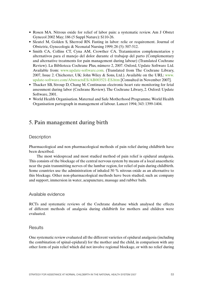- Rosen MA. Nitrous oxide for relief of labor pain: a systematic review. Am J Obstet Gynecol 2002 May; 186 (5 Suppl Nature): S110-26.
- Sleutel M, Golden S, Sherrod RN. Fasting in labor: relic or requirement. Journal of Obstetric, Gynecologic & Neonatal Nursing 1999; 28 (5): 507-512.
- Smith CA, Collins CT, Cyna AM, Crowther CA. Tratamientos complementarios y alternativos para el manejo del dolor durante el trabajop del parto (Complementary and alternative treatments for pain management during labour) (Translated Cochrane Review). La Biblioteca Cochrane Plus, número 2, 2007. Oxford, Update Software Ltd. Available from: www.update-software.com. (Translated from The Cochrane Library, 2007, Issue 2. Chichester, UK: John Wiley & Sons, Ltd.). Available on the URL: www. update-software.com/AbstractsES/AB003521-ES.htm [Consulted in November 2007].
- Thacker SB, Stroup D, Chang M. Continuous electronic heart rate monitoring for fetal assessment during labor (Cochrane Review). The Cochrane Library, 2. Oxford: Update Software, 2001.
- World Health Organisation. Maternal and Safe Motherhood Programme. World Health Organisation partograph in management of labour. Lancet 1994; 343: 1399-1404.

### 5. Pain management during birth

#### **Description**

Pharmacological and non pharmacological methods of pain relief during childbirth have been described.

The most widespread and most studied method of pain relief is epidural analgesia. This consists of the blockage of the central nervous system by means of a local anaesthetic near the pain transmitting nerves of the lumbar region, for relief of pain during childbirth. Some countries use the administration of inhaled 50 % nitrous oxide as an alternative to this blockage. Other non-pharmacological methods have been studied, such as: company and support, immersion in water, acupuncture, massage and rubber balls.

#### Available evidence

RCTs and systematic reviews of the Cochrane database which analysed the effects of different methods of analgesia during childbirth for mothers and children were evaluated.

#### **Results**

One systematic review evaluated all the different varieties of epidural analgesia (including the combination of spinal-epidural) for the mother and the child, in comparison with any other form of pain relief which did not involve regional blockage, or with no relief during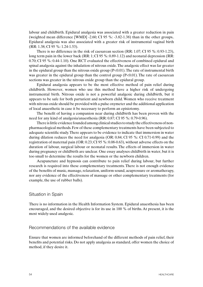labour and childbirth. Epidural analgesia was associated with a greater reduction in pain (weighted mean difference [WMD] -2.60; CI 95 %: -3.82-1.38) than in the other groups.. Epidural analgesia was also associated with a greater risk of instrumental vaginal birth (RR: 1.38; CI 95 %: 1.24-1.53).

There is no difference in the risk of caesarean section (RR: 1.07; CI 95 %: 0.93-1.23), long term pain in the lower back (RR: 1; CI 95 %: 0.89-1.12) and neonatal depression (RR: 0.70; CI 95 %: 0.44-1.10). One RCT evaluated the effectiveness of combined epidural and spinal analgesia against the inhalation of nitrous oxide. The analgesic effect was far greater in the epidural group than the nitrous oxide group  $(P<0.01)$ . The rate of instrumental birth was greater in the epidural group than the control group (P<0.01). The rate of caesarean sections was greater in the nitrous oxide group than the epidural group.

Epidural analgesia appears to be the most effective method of pain relief during childbirth. However, women who use this method have a higher risk of undergoing instrumental birth. Nitrous oxide is not a powerful analgesic during childbirth, but it appears to be safe for both parturient and newborn child. Women who receive treatment with nitrous oxide should be provided with a pulse oxymeter and the additional application of local anaesthetic in case it be necessary to perform an episiotomy.

The benefit of having a companion near during childbirth has been proven with the need for any kind of analgesia/anaesthesia (RR: 0.87; CI 95 %: 0.79-0.96).

There is little evidence founded among clinical studies to study the effectiveness of nonpharmacological methods. Few of these complementary treatments have been subjected to adequate scientific study. There appears to be evidence to indicate that immersion in water during dilation reduces the need for analgesia (OR: 0.84; CI 95 %: CI 0.71-0.99) and the registration of maternal pain (OR: 0.23; CI 95 %: 0.08-0.63), without adverse effects on the duration of labour, surgical labour or neonatal results. The effects of immersion in water during pregnancy or childbirth are unclear. One essay analyses childbirth in water, but it is too small to determine the results for the women or the newborn children.

Acupuncture and hypnosis can contribute to pain relief during labour, but further research is required into these complementary treatments. There is not enough evidence of the benefits of music, massage, relaxation, uniform sound, acupressure or aromatherapy, nor any evidence of the effectiveness of massage or other complementary treatments (for example, the use of rubber balls).

#### Situation in Spain

There is no information in the Health Information System. Epidural anaesthesia has been encouraged, and the desired objective is for its use in 100 % of births. At present, it is the most widely-used analgesic.

#### Recommendations of the available evidence

Ensure that women are informed beforehand of the different methods of pain relief, their benefits and potential risks. Do not apply analgesia as standard, offer women the choice of method, if they desire it.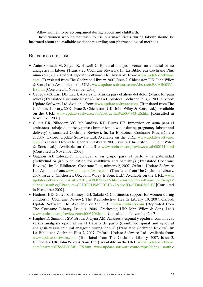Allow women to be accompanied during labour and childbirth.

Those women who do not wish to use pharmaceuticals during labour should be informed about the available evidence regarding non-pharmacological methods.

#### References and links

- Anim-Somuah M, Smyth R, Howell C. Epidural analgesia versus no epidural or no analgesics in labour (Translated Cochrane Review). In: La Biblioteca Cochrane Plus, número 2, 2007. Oxford, Update Software Ltd. Available from: www.update-software. com. (Translated from The Cochrane Library, 2007, Issue 2. Chichester, UK: John Wiley & Sons, Ltd.). Available on the URL: www.update-software.com/AbstractsES/AB00331- ES.htm [Consulted in November 2007].
- Cepeda MS, Carr DB, Lau J, Alvarez H. Música para el alivio del dolor (Music for pain relief) (Translated Cochrane Review). In: La Biblioteca Cochrane Plus, 2, 2007. Oxford: Update Software Ltd. Available from: www.update-software.com. (Translated from The Cochrane Library, 2007, Issue 2. Chichester, UK: John Wiley & Sons, Ltd.). Available on the URL: www.update-software.com/abstractsES/ab004843-ES.htm [Consulted in November 2007].
- • Cluett ER, Nikodem VC, McCandlish RE, Burns EE. Inmersión en agua para el embarazo, trabajo de parto y parto (Immersion in water during pregnancy, labour and delivery) (Translated Cochrane Review). In: La Biblioteca Cochrane Plus, número 2, 2007. Oxford, Update Software Ltd. Available on the URL: www.update-software. com. (Translated from The Cochrane Library, 2007, Issue 2. Chichester, UK: John Wiley & Sons, Ltd.). Available on the URL: www.cochrane.org/reviews/es/ab000111.html [Consulted in November 2007].
- • Gagnon AJ. Educación individual o en grupo para el parto y la paternidad (Individual or group education for childbirth and paternity) (Translated Cochrane Review). In: La Biblioteca Cochrane Plus, número 2, 2007. Oxford, Update Software Ltd. Available from: www.update-software.com. (Translated from The Cochrane Library, 2007, Issue 2. Chichester, UK: John Wiley & Sons, Ltd.). Available on the URL: www. update-software.com/AbstractsES/AB002869-ES.htm, www.update-software.com/scripts/ clibng/usauth.cgi?Product=CLIBPLUS&URLID=2&docID=CD002869-ES [Consulted in November 2007].
- Hodnett ED, Gates S, Hofmeyr GJ, Sakala C. Continuous support for women during childbirth (Cochrane Review). The Reproductive Health Library, 10, 2007. Oxford: Update Software Ltd. Available on the URL: www.rhlibrary.com (Reprinted from The Cochrane Library, Issue 4, 2006. Chichester, UK: John Wiley & Sons, Ltd.) www.cochrane.org/reviews/en/ab003766.html [Consulted in November 2007].
- Hughes D, Simmons SW, Brown J, Cyna AM. Analgesia espinal y epidural combinadas versus analgesia epidural en el trabajo de parto (Combined spinal and epidural analgesia versus epidural analgesia during labour) (Translated Cochrane Review). In: La Biblioteca Cochrane Plus, 2, 2007. Oxford, Update Software Ltd. Available from: www.update-software.com. (Translated from The Cochrane Library, 2007, Issue 2. Chichester, UK: John Wiley & Sons, Ltd.). Available on the URL: www.update-software. com/abstractsES/AB003401-ES.htm, www.update-software.com/scripts/clibng/usauth.c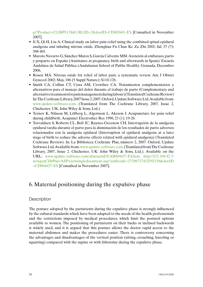gi?Product=CLIBPLUS&URLID=2&docID=CD003401-ES [Consulted in November 2007].

- Ji X, Qi H, Liu A. Clinical study on labor pain relief using the combined spinal-epidural analgesia and inhaling nitrous oxide. Zhonghua Fu Chan Ke Za Zhi 2002; Jul, 37 (7): 398-401.
- • Maroto Navarro G,Sánchez Muros S,García Calvente MM.Atención al embarazo,parto y posparto en España (Assistance at pregnancy, birth and afterwards in Spain). Escuela Andaluza de Salud Pública (Andalusian School of Public Health). Granada, December 2006.
- Rosen MA. Nitrous oxide for relief of labor pain: a systematic review. Am J Obstet Gynecol 2002; May, 186 (5 Suppl Nature): S110-126.
- Smith CA, Collins CT, Cyna AM, Crowther CA. Tratamientos complementarios y alternativos para el manejo del dolor durante el trabajo de parto (Complementary and alternative treatments for pain management during labour) (Translated Cochrane Review) In: The Cochrane Library, 2007 Issue 2, 2007. Oxford, Update Software Ltd. Available from: www.update-software.com. (Translated from The Cochrane Library, 2007, Issue 2. Chichester, UK: John Wiley & Sons, Ltd.)
- Ternov K, Nilsson M, Löfberg L, Algotsson L, Akeson J. Acupuncture for pain relief during childbirth. Acupunct Electrother Res 1998; 23 (1): 19-26.
- • Torvaldsen S, Roberts CL, Bell JC, Raynes-Greenow CH. Interrupción de la analgesia epidural tardía durante el parto para la disminución de los resultados de parto adversos relacionados con la analgesia epidural (Interruption of epidural analgesia at a later stage of birth to reduce the adverse effects related with epidural analgesia) (Translated Cochrane Review). In: La Biblioteca Cochrane Plus, número 2, 2007. Oxford, Update Software Ltd. Available from: www.update-software.com. (Translated from The Cochrane Library, 2007, Issue 2. Chichester, UK: John Wiley & Sons, Ltd.). Available on the URL: www.update-software.com/abstractsES/AB004457-ES.htm, http://212.169.42.7/ newgenClibPlus/ASP/viewsingledocument.asp?authcode=27296727432592136&docID =CD004457-ES [Consulted in November 2007].

### 6. Maternal positioning during the expulsive phase

#### **Description**

The posture adopted by the parturients during the expulsive phase is strongly influenced by the cultural standards which have been adapted to the needs of the health professionals and the restrictions imposed by medical procedures, which limit the postural options available to women. The positioning of parturients on their backs or inclined backwards is widely used, and it is argued that this posture allows the doctor rapid access to the maternal abdomen and makes the procedures easier. There is controversy concerning the advantages and disadvantages of the vertical position (sitting, crouching, kneeling or squatting) compared with the supine or with lithotomy during the expulsive phase.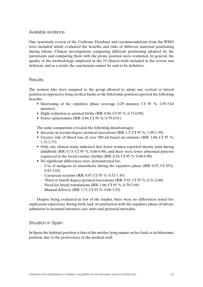#### Available evidence

One systematic review of the Cochrane Database and recommendations from the WHO were included which evaluated the benefits and risks of different maternal positioning during labour. Clinical investigations comparing different positioning adopted by the parturients and comparing them with the prone position were evaluated. In general, the quality of the methodology employed in the 19 clinical trials included in the review was deficient, and as a result, the conclusions cannot be said to be definitive.

#### **Results**

The women who were assigned to the group allowed to adopt any vertical or lateral position as opposed to lying on their backs or the lithotomic position reported the following benefits:

- Shortening of the expulsive phase (average 4.29 minutes; CI 95 %: 2.95-5.64) minutes)
- Slight reduction in assisted births (RR: 0.84; CI 95 %: 0.73-0.98)
- Fewer episiotomies (RR:  $0.84$ ; CI 95 %:  $0.79-0.91$ )

The same comparison revealed the following disadvantages:

- Increase in second-degree perineal lacerations  $(RR: 1.2; CI 95 %: 1.09-1.39)$ .
- Greater risk of blood loss of over 500 ml based on estimate (RR: 1.68; CI 95 %: 1.32-2.15).
- Only one clinical study indicated that fewer women reported intense pain during childbirth (RR: 0.73; CI 95 %; 0.60-0.90), and there were fewer abnormal patterns registered in the foetal cardiac rhythm (RR: 0.28; CI 95 %: 0.08-0.98)
- No significant differences were demonstrated for:
	- Use of analgesia or anaesthesia during the expulsive phase (RR: 0.97; CI 95%: 0.93-1.02)
	- Caesarean sections (RR: 0.87; CI 95 %: 0.52-1.45)
	- Third or fourth degree perineal lacerations (RR: 0.91; CI 95 %: 0.31-2.68)
	- Need for blood transfusions (RR: 1.66; CI 95 %: 0.70-3.94)
	- Manual delivery (RR: 1.71; CI 95 %: 0.86-3.39)

Despite being evaluated in few of the studies, there were no differences noted for: unpleasant experience during birth, lack of satisfaction with the expulsive phase of labour, admission to neonatal intensive care units and perinatal mortality.

#### Situation in Spain

In Spain the habitual position is that of the mother lying supine on her back or in lithotomic position, due to the preferences of the medical staff.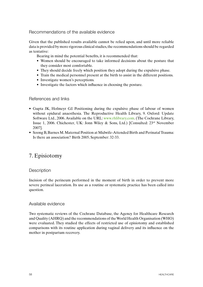### Recommendations of the available evidence

Given that the published results available cannot be relied upon, and until more reliable data is provided by more rigorous clinical studies, the recommendations should be regarded as tentative:

Bearing in mind the potential benefits, it is recommended that:

- Women should be encouraged to take informed decisions about the posture that they consider most comfortable.
- They should decide freely which position they adopt during the expulsive phase.
- Train the medical personnel present at the birth to assist in the different positions.
- Investigate women's perceptions.
- Investigate the factors which influence in choosing the posture.

#### References and links

- Gupta JK, Hofmeyr GJ. Positioning during the expulsive phase of labour of women without epidural anaesthesia. The Reproductive Health Library, 9. Oxford: Update Software Ltd., 2006. Available on the URL: www.rhlibrary.com. (The Cochrane Library, Issue 1, 2006. Chichester, UK: Jonn Wiley & Sons, Ltd.) [Consulted: 23rd November 2007].
- Soong B, Barnes M. Maternal Position at Midwife-Attended Birth and Perinatal Trauma: Is there an association? Birth 2005; September: 32-33.

## 7. Episiotomy

#### **Description**

Incision of the perineum performed in the moment of birth in order to prevent more severe perineal laceration. Its use as a routine or systematic practice has been called into question.

#### Available evidence

Two systematic reviews of the Cochrane Database, the Agency for Healthcare Research and Quality (AHRQ) and the recommendations of the World Health Organisation (WHO) were evaluated. They studied the effects of restricted use of episiotomy and established comparisons with its routine application during vaginal delivery and its influence on the mother in postpartum recovery.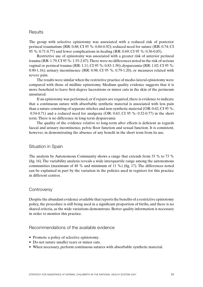#### **Results**

The group with selective episiotomy was associated with a reduced risk of posterior perineal traumatism (RR: 0.88; CI 95 %: 0.84-0.92); reduced need for suture (RR: 0.74; CI 95 %: 0.71-0.77) and fewer complications in healing (RR: 0.69; CI 95 %: 0.56-0.85).

Restrictive use of episiotomy was associated with a greater risk of anterior perineal trauma (RR: 1.79; CI 95 %: 1.55-2.07). There were no differences noted in the risk of serious vaginal or perineal trauma (RR: 1.11; CI 95 %: 0.83-1.50); dyspareunia (RR: 1.02; CI 95 %: 0.90-1.16); urinary incontinence (RR: 0.98; CI 95 %: 0.79-1.20), or measures related with severe pain.

The results were similar when the restrictive practice of medio-lateral episiotomy were compared with those of midline episiotomy. Medium quality evidence suggests that it is more beneficial to leave first-degree lacerations or minor cuts in the skin of the perineum unsutured.

If an episiotomy was performed, or if repairs are required, there is evidence to indicate that a continuous suture with absorbable synthetic material is associated with less pain than a suture consisting of separate stitches and non-synthetic material (OR: 0.62; CI 95 %: 0.54-0.71) and a reduced need for analgesia (OR: 0.63; CI 95 %: 0.52-0.77) in the short term. There is no difference in long-term dyspareunia

The quality of the evidence relative to long-term after effects is deficient as regards faecal and urinary incontinence, pelvic floor function and sexual function. It is consistent, however, in demonstrating the absence of any benefit in the short term from its use.

#### Situation in Spain

The analysis by Autonomous Community shows a range that extends from 33 % to 73 % (fig. 16). The variability analysis reveals a wide interquartile range among the autonomous communities (maximum of 48 % and minimum of 11 %) (fig. 17). The differences noted can be explained in part by the variation in the policies used in registers for this practice in different centres.

#### **Controversy**

Despite the abundant evidence available that reports the benefits of a restrictive episiotomy policy, the procedure is still being used in a significant proportion of births, and there is no shared criteria, as the wide variations demonstrate. Better quality information is necessary in order to monitor this practice.

#### Recommendations of the available evidence

- Promote a policy of selective episiotomy.
- Do not suture smaller tears or minor cuts.
- When necessary, perform continuous sutures with absorbable synthetic material.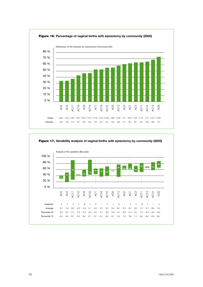

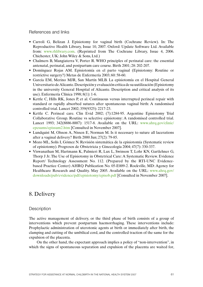#### References and links

- • Carroli G, Belizan J. Episiotomy for vaginal birth (Cochrane Review). In: The Reproductive Health Library, Issue 10, 2007. Oxford: Update Software Ltd. Available from: www.rhlibrary.com. (Reprinted from The Cochrane Library, Issue 4, 2006. Chichester, UK: John Wiley & Sons, Ltd.)
- Chalmers B, Mangiaterra V, Porter R. WHO principles of perinatal care: the essential antenatal, perinatal, and postpartum care course. Birth 2001; 28: 202-207.
- • Domínguez Rojas AM. Episiotomía en el parto vaginal (Episiotomy: Routine or restrictive surgery?) Metas de Enfermería 2003; 60: 58-60.
- • García EM, Merino MJR, San Martín MLB. La episiotomía en el Hospital General Universitario deAlicante.Descripción y evaluación crítica de su uutilización (Episiotomy in the university General Hospital of Alicante. Description and critical analysis of its use). Enfermería Clínica 1998; 8(1): 1-6.
- Kettle C, Hills RK, Jones P, et al. Continuous versus interrupted perineal repair with standard or rapidly absorbed sutures after spontaneous vaginal birth: A randomised controlled trial. Lancet 2002; 359(9325): 2217-23.
- • Kettle C. Perineal care. Clin Evid 2002; (7):1284-95. Argentine Episiotomy Trial Collaborative Group. Routine vs selective episiotomy: A randomised controlled trial. Lancet 1993; 342(8886-8887): 1517-8. Available on the URL: www.ahrq.gov/clinic/ epcsums/epissum2.htm [Consulted in November 2007].
- Lundquist M, Olsson A, Nissen E, Norman M. Is it necessary to suture all lacerations after a vaginal delivery? Birth 2000 Jun; 27(2): 79-85.
- • Mozo ML, Solís I, Gómez N. Revisión sistemática de la episiotomía (Systematic review of episiotomy). Progresos de Obstetricia y Ginecología 2004; 47(7): 330-337.
- • Viswanathan M, Hartmann K, Palmieri R, Lux L, Swinson T, Lohr KN, Gartlehner G, Thorp J Jr. The Use of Episiotomy in Obstetrical Care: A Systematic Review. Evidence Report/ Technology Assessment No. 112. (Prepared by the RTI-UNC Evidencebased Practice Center) AHRQ Publication No. 05-E009-2. Rockville, MD: Agency for Healthcare Research and Quality. May 2005. Available on the URL: www.ahrq.gov/ downloads/pub/evidence/pdf/episiotomy/episob.pdf [Consulted in November 2007].

### 8. Delivery

#### **Description**

The active management of delivery, or the third phase of birth consists of a group of interventions which prevent postpartum haemorrhaging. These interventions include: Prophylactic administration of uterotonic agents at birth or immediately after birth, the clamping and cutting of the umbilical cord, and the controlled traction of the same for the expulsion of the placenta.

On the other hand, the expectant approach implies a policy of "non-intervention", in which the signs of spontaneous separation and expulsion of the placenta are waited for,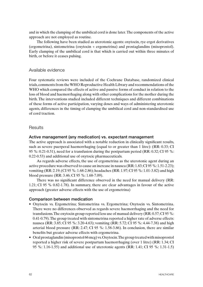and in which the clamping of the umbilical cord is done later. The components of the active approach are not employed as routine.

The following have been studied as uterotonic agents: oxytocin, rye ergot derivatives (ergometrina), sintometrina (oxytocin + ergometrina) and prostaglandins (misoprostol). Early clamping of the umbilical cord is that which is carried out within three minutes of birth, or before it ceases pulsing.

#### Available evidence

Four systematic reviews were included of the Cochrane Database, randomized clinical trials, comments from the WHO Reproductive Health Library and recommendations of the WHO which compared the effects of active and passive forms of conduct in relation to the loss of blood and haemorrhaging along with other complications for the mother during the birth. The interventions studied included different techniques and different combinations of these forms of active participation, varying doses and ways of administering uterotonic agents, differences in the timing of clamping the umbilical cord and non-standardised use of cord traction.

#### **Results**

#### Active management (any medication) vs. expectant management

The active approach is associated with a notable reduction in clinically significant results, such as severe puerperal haemorrhaging (equal to or greater than 1 litre): (RR: 0.33; CI 95 %: 0.21-0.51), need for a transfusion during the postpartum period (RR: 0.32; CI 95 %: 0.22-0.53) and additional use of oxytocic pharmaceuticals.

As regards adverse effects, the use of ergometrina as the uterotonic agent during an active procedure was observed to cause an increase in nausea (RR: 1.83; CI 95 %: 1.51-2.23); vomiting (RR: 2.19; (CI 95 %: 1.68-2.86); headaches (RR: 1.97; CI 95 %: 1.01-3.82) and high blood pressure (RR: 3.46; CI 95 %: 1.68-7.09).

There was no significant difference observed in the need for manual delivery (RR: 1.21; CI 95 % 0.82-1.78). In summary, there are clear advantages in favour of the active approach (greater adverse effects with the use of ergometrina)

#### Comparison between medication

- • Oxytocin vs. Ergometrina; Sintometrina vs. Ergometrina; Oxytocin vs. Sintometrina. There were no differences observed as regards severe haemorrhaging and the need for transfusions. The oxytocin group reported less use of manual delivery (RR: 0.57; CI 95 %: 0.41-0.79). The group treated with sintometrina reported a higher rate of adverse effects: nausea (RR: 3.85; CI 95 %: 3.20-4.63); vomiting (RR: 5.72; CI 95 %: 4.44-7.38) and high arterial blood pressure (RR: 2.47; CI 95 %: 1.58-3.86). In conclusion, there are similar benefits but greater adverse effects with ergometrina.
- Oral prostaglandin (misoprostol 66 mcg) vs. Oxytocin. The group treated with misoprostol reported a higher risk of severe postpartum haemorrhaging (over 1 litre) (RR: 1.34; CI 95 %: 1.16-1.55) and additional use of uterotonic agents (RR: 1.41; CI 95 %: 1.31-1.5)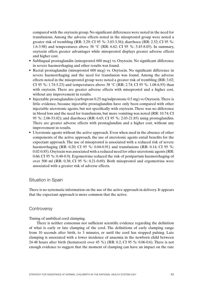compared with the oxytocin group. No significant differences were noted in the need for transfusions. Among the adverse effects noted in the misoprostol group were noted a greater risk of trembling (RR: 3.29; CI 95 %: 3.03-3.56); diarrhoea (RR: 2.52; CI 95 %: 1.6-3.98) and temperatures above 38 °C (RR: 6.62; CI 95 %: 5.45-8.05). In summary, oxytocin offers greater advantages while misoprostol displays greater adverse effects and higher cost.

- Sublingual prostaglandin (misoprostol 600 mcg) vs. Oxytocin. No significant difference in severe haemorrhaging and other results was found.
- Rectal prostaglandin (misoprostol 600 mcg) vs. Oxytocin. No significant difference in severe haemorrhaging and the need for transfusion was found. Among the adverse effects noted in the misoprostol group were noted a greater risk of trembling (RR: 3.02; CI 95 %: 1.74-5.23) and temperatures above 38 °C (RR: 2.74; CI 95 %: 1.08-6.93) than with oxytocin. There are greater adverse effects with misoprostol and a higher cost, without any improvement in results.
- Injectable prostaglandins (carboprost 0.25 mg/sulprostone 0.5 mg) vs Oxytocin. There is little evidence, because injectable prostaglandins have only been compared with other injectable uterotonic agents, but not specifically with oxytocin. There was no difference in blood loss and the need for transfusions, but more vomiting was noted (RR: 10.74; CI 95 %: 2.06-53.02); and diarrhoea (RR: 6.65; CI 95 %: 2.03-21.85) using prostaglandins. There are greater adverse effects with prostaglandins and a higher cost, without any improvement in results.
- Uterotonic agents without the active approach. Even when used in the absence of other components of the active approach, the use of uterotonic agents entail benefits for the expectant approach. The use of misoprostol is associated with a reduced risk of severe haemorrhaging (RR: 0.20; CI 95 %: 0.04-0.91) and transfusions (RR: 0.14; CI 95 %: 0.02-0.85). Oxytocin was associated with a reduced need for other uterotonic agents (RR: 0.66; CI 95 %: 0.48-0.9). Ergometrina reduced the risk of postpartum haemorrhaging of over 500 ml (RR: 0.38; CI 95 %: 0.21-0.69). Both misoprostol and ergometrina were associated with a greater risk of adverse effects.

#### Situation in Spain

There is no systematic information on the use of the active approach in delivery. It appears that the expectant approach is more common that the active.

#### **Controversy**

Timing of umbilical cord clamping.

There is neither consensus nor sufficient scientific evidence regarding the definition of what is early or late clamping of the cord. The definitions of early clamping range from 10 seconds after birth, to 3 minutes, or until the cord has stopped pulsing. Late clamping is associated with a lower incidence of anaemia in the newborn child between 24-48 hours after birth (hematocrit over 45 %) (RR: 0.2; CI 95 %: 0.06-0.6). There is not enough evidence to suggest that the moment of clamping can have an impact on the rate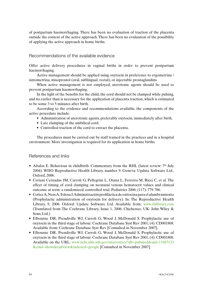of postpartum haemorrhaging. There has been no evaluation of traction of the placenta outside the context of the active approach. There has been no evaluation of the possibility of applying the active approach in home births.

#### Recommendations of the available evidence

Offer active delivery procedures in vaginal births in order to prevent postpartum haemorrhaging.

Active management should be applied using oxytocin in preference to ergometrina / sintometrina, misoprostol (oral, sublingual, rectal), or injectable prostaglandins.

When active management is not employed, uterotonic agents should be used to prevent postpartum haemorrhaging.

In the light of the benefits for the child, the cord should not be clamped while pulsing, and no earlier than is necessary for the application of placenta traction, which is estimated to be some 3 to 5 minutes after birth.

According to the evidence and recommendations available, the components of the active procedure include:

- Administration of uterotonic agents, preferably oxytocin, immediately after birth.
- Late clamping of the umbilical cord.
- Controlled traction of the cord to extract the placenta.

The procedures must be carried out by staff trained in the practices and in a hospital environment. More investigation is required for its application in home births.

#### References and links

- Abalos E. Behaviour in childbirth: Commentary from the RHL (latest review:  $7<sup>th</sup>$  July 2004). WHO Reproductive Health Library, number 9. Geneva: Update Software Ltd., Oxford, 2006.
- • Ceriani Cernadas JM, Carroli G, Pellegrini L, Otana L, Ferreira M, Ricci C, et al. The effect of timing of cord clamping on neonatal venous hematocrit values and clinical outcome at term: a randomized, controlled trial. Pediatrics 2006; (117): 779-786.
- Cotter A, Ness A, Tolosa J. Administración profiláctica de oxitocina para el alumbramiento (Prophylactic administration of oxytocin for delivery). In: The Reproductive Health Library, 9, 2006. Oxford: Update Software Ltd. Available from: www.rhlibrary.com (Translated from The Cochrane Library, Issue 1, 2006. Chichester, UK: John Wiley & Sons, Ltd.)
- Elbourne DR, Prendiville WJ, Carroli G, Wood J, McDonald S. Prophylactic use of oxytocin in the third stage of labour. Cochrane Database Syst Rev 2001; (4): CD001808. Available from: Cochrane Database Syst Rev [Consulted in November 2007].
- • Elbourne DR, Prendiville WJ, Carroli G, Wood J, McDonald S. Prophylactic use of oxytocin in the third stage of labour. Cochrane Database Syst Rev 2001; (4): CD001808. Available on the URL: www.ncbi.nlm.nih.gov/sites/entrez?db=pubmed&uid=11687123 &cmd=showdetailview&indexed=google [Consulted in November 2007].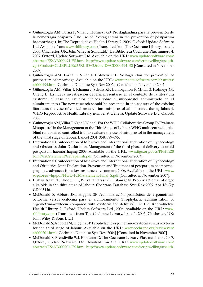- • Gülmezoglu AM, Forna F, Villar J, Hofmeyr GJ. Prostaglandina para la prevención de la hemorragia posparto (The use of Prostaglandins in the prevention of postpartum haemorrhage). In: The Reproductive Health Library, 9, 2006. Oxford: Update Software Ltd. Available from: www.rhlibrary.com (Translated from The Cochrane Library, Issue 1, 2006. Chichester, UK: John Wiley & Sons, Ltd.). La Biblioteca Cochrane Plus, número 4, 2007. Oxford, Update Software Ltd. Available on the URL: www.update-software.com/ abstractsES/AB000494-ES.htm; http://www.update-software.com/scripts/clibng/usauth. cgi?Product=CLIBPLUS&URLID=2&docID=CD000494-ES [Consulted in November 2007].
- • Gülmezoglu AM, Forna F, Villar J, Hofmeyr GJ. Prostaglandins for prevention of postpartum haemorrhage. Available on the URL: www.update-software.com/abstracts/ ab000494.htm [Cochrane Database Syst Rev 2002] [Consulted in November 2007].
- • Gülmezoglu AM, Villar J, Khanna J, Schulz KF, Lumbiganon P, Mittal S, Hofmeyr GJ, Cheng L. La nueva investigación debería presentarse en el contexto de la literatura existente: el caso de estudios clínicos sobre el misoprostol administrado en el alumbramiento (The new research should be presented in the context of the existing literature: the case of clinical research into misoprostol administered during labour). WHO Reproductive Health Library, number 9. Geneva: Update Software Ltd, Oxford, 2006.
- Gülmezoglu AM, Villar J, Ngoc NN, et al. For the WHO Collaborative Group To Evaluate Misoprostol in the Management of the Third Stage of Labour. WHO multicentre doubleblind randomized controlled trial to evaluate the use of misoprostol in the management of the third stage of labour. Lancet 2001; 358: 689-695.
- International Confederation of Midwives and International Federation of Gynaecology and Obstetrics. Joint Declaration. Management of the third phase of delivery to avoid postpartum haemorrhaging 2003. Available on the URL: www.figo.org/docs/PPH%20 Joint%20Statement%20Spanish.pdf [Consulted in November 2007].
- International Confederation of Midwives and International Federation of Gynaecology and Obstetrics. Joint Declaration. Prevention and Treatment of postpartum haemorrhaging: new advances for a low resource environment 2006. Available on the URL: www. sogc.org/iwhp/pdf/FIGO-ICM-statement-Final\_S.pdf [Consulted in November 2007].
- Liabsuetrakul T, Choobun T, Peeyananjarassri K, Islam QM. Prophylactic use of ergot alkaloids in the third stage of labour. Cochrane Database Syst Rev 2007 Apr 18; (2): CD005456.
- • McDonald S, Abbott JM, Higgins SP. Administración profiláctica de ergometrinaocitocina versus ocitocina para el alumbramiento (Prophylactic administration of ergometrina-oxytocin compared with oxytocin for delivery). In: The Reproductive Health Library, 9. Oxford: Update Software Ltd., 2006. Available on the URL: www. rhlibrary.com (Translated from The Cochrane Library, Issue 1, 2006. Chichester, UK: John Wiley & Sons, Ltd.)
- McDonald S, Abbott JM, Higgins SP. Prophylactic ergometrine-oxytocin versus oxytocin for the third stage of labour. Available on the URL: www.cochrane.org/reviews/en/ ab000201.html [Cochrane Database Syst Rev. 2004] [Consulted in November 2007].
- McDonald S, Prendiville WJ, Elbourne D. The Cochrane Library Plus, number 4, 2007. Oxford, Update Software Ltd. Available on the URL: www.update-software.com/ abstractsES/AB000201-ES.htm, http://www.update-software.com/scripts/clibng/usauth.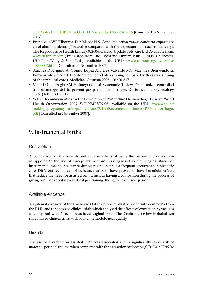cgi?Product=CLIBPLUS&URLID=2&docID=CD000201-ES [Consulted in November 2007].

- Prendiville WJ, Elbourne D, McDonald S. Conducta activa versus conducta expectante en el alumbramiento (The active compared with the expectant approach to delivery). The Reproductive Health Library, 9, 2006. Oxford: Update Software Ltd. Available from: www.rhlibrary.com (Translated from The Cochrane Library, Issue 1, 2006. Chichester, UK: John Wiley & Sons, Ltd.). Available on the URL: www.cochrane.org/reviews/es/ ab000007.html [Consulted in November 2007].
- • Sánchez Rodríguez A, Gómez López A, Pérez Valverde MC, Martínez Bienvenido E. Pinzamiento precoz del cordón umbilical (Late camping compared with early clamping of the umbilical cord). Medicina Naturista 2006, 10: 620-637.
- Villar J, Gülmezoglu AM, Hofmeyr GJ, et al. Systematic Review of randomized controlled trial of misoprostol to prevent postpartum hemorrhage. Obstetrics and Gynecology 2002; (100): 1301-1312.
- WHO Recommendatios for the Prevention of Postpartum Haemorrhage. Geneva: World Health Organization, 2007. WHO/MPS/07.06. Available on the URL: www.who.int/ making\_pregnancy\_safer/publications/WHORecommendationsforPPHaemorrhage. pdf [Consulted in November 2007].

### 9. Instrumental births

#### **Description**

A comparison of the benefits and adverse effects of using the suction cup or vacuum as opposed to the use of forceps when a birth is diagnosed as requiring assistance or instrumental means. Assistance during vaginal birth is a frequent occurrence in obstetric care. Different techniques of assistance at birth have proved to have beneficial effects that reduce the need for assisted births, such as having a companion during the process of giving birth, or adopting a vertical positioning during the expulsive period.

#### Available evidence

A systematic review of the Cochrane Database was evaluated along with comments from the RHL and randomized clinical trials which analysed the effects of extraction by vacuum as compared with forceps in assisted vaginal birth. The Cochrane review included ten randomized clinical trials with sound methodological quality.

#### **Results**

The use of a vacuum in assisted birth was associated with a significantly lower risk of maternal perineal trauma when compared with the extraction by forceps  $(OR: 0.41; CI 95 \%:$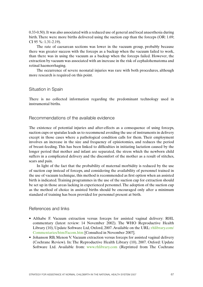0.33-0.50). It was also associated with a reduced use of general and local anaesthesia during birth. There were more births delivered using the suction cup than the forceps (OR: 1.69; CI 95 %: 1.31-2.19).

The rate of caesarean sections was lower in the vacuum group, probably because there was greater success with the forceps as a backup when the vacuum failed to work, than there was in using the vacuum as a backup when the forceps failed. However, the extraction by vacuum was associated with an increase in the risk of cephalohematoma and retinal haemorrhaging.

The occurrence of severe neonatal injuries was rare with both procedures, although more research is required on this point.

#### Situation in Spain

There is no collected information regarding the predominant technology used in instrumental births.

Recommendations of the available evidence

The existence of potential injuries and after-effects as a consequence of using forceps, suction cups or spatulas leads us to recommend avoiding the use of instruments in delivery except in those cases where a pathological condition calls for them. Their employment involves an increase in the size and frequency of episiotomies, and reduces the period of breast-feeding. This has been linked to difficulties in initiating lactation caused by the longer period that mother and infant are separated, the stress which the newborn child suffers in a complicated delivery and the discomfort of the mother as a result of stitches, scars and pain.

In light of the fact that the probability of maternal morbidity is reduced by the use of suction cup instead of forceps, and considering the availability of personnel trained in the use of vacuum technique, this method is recommended as first option when an assisted birth is indicated. Training programmes in the use of the suction cup for extraction should be set up in those areas lacking in experienced personnel. The adoption of the suction cup as the method of choice in assisted births should be encouraged only after a minimum standard of training has been provided for personnel present at birth.

#### References and links

- Althabe F. Vacuum extraction versus forceps for assisted vaginal delivery: RHL commentary (latest review: 14 November 2002). The WHO Reproductive Health Library (10), Update Software Ltd, Oxford, 2007. Available on the URL: rhlibrary.com/ Commentaries/htm/Facom.htm [Consulted in November 2007].
- Johanson RB, Menon V. Vacuum extraction versus forceps for assisted vaginal delivery (Cochrane Review). In: The Reproductive Health Library (10), 2007. Oxford: Update Software Ltd. Available from: www.rhlibrary.com (Reprinted from The Cochrane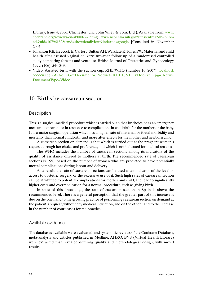Library, Issue 4, 2006. Chichester, UK: John Wiley & Sons, Ltd.). Available from: www. cochrane.org/reviews/en/ab000224.html; www.ncbi.nlm.nih.gov/sites/entrez?db=pubm ed&uid=10796182&cmd=showdetailview&indexed=google [Consulted in November 2007].

- Johanson RB, Heycock E, Carter J, Sultan AH, Walklate K, Jones PW. Maternal and child health after assisted vaginal delivery: five-year follow up of a randomised controlled study comparing forceps and ventouse. British Journal of Obstetrics and Gynaecology 1999; (106): 544-549.
- Video: Assisted birth with the suction cup. RHL/WHO (number 10, 2007). localhost: 6666/us.cgi?Action=GetDocument&Product=RHL10&LinkDoc=ve.mpg&Active DocumentType=Video

### 10. Births by caesarean section

#### **Description**

This is a surgical-medical procedure which is carried out either by choice or as an emergency measure to prevent or in response to complications in childbirth for the mother or the baby. It is a major surgical operation which has a higher rate of maternal or foetal morbidity and mortality than normal childbirth, and more after effects for the mother and newborn child.

A caesarean section on demand is that which is carried out at the pregnant woman's request, through her choice and preference, and which is not indicated for medical reasons.

The WHO includes the number of caesarean sections among its indicators of the quality of assistance offered to mothers at birth. The recommended rate of caesarean sections is 15%, based on the number of women who are predicted to have potentially mortal complications during labour and delivery.

As a result, the rate of caesarean sections can be used as an indicator of the level of access to obstetric surgery, or the excessive use of it. Such high rates of caesarean section can be attributed to potential complications for mother and child, and lead to significantly higher costs and overmedication for a normal procedure, such as giving birth.

In spite of this knowledge, the rate of caesarean section in Spain is above the recommended level. There is a general perception that the greater part of this increase is due on the one hand to the growing practice of performing caesarean section on demand at the patient's request, without any medical indication, and on the other hand to the increase in the number of court cases for malpractice.

#### Available evidence

The databases available were evaluated, and systematic reviews of the Cochrane Database, meta-analysis and articles published in Medline, AHRQ, BVS (Virtual Health Library) were extracted that revealed differing quality and methodological design, with mixed results.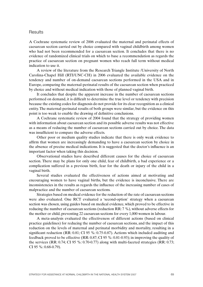#### **Results**

A Cochrane systematic review of 2006 evaluated the maternal and perinatal effects of caesarean section carried out by choice compared with vaginal childbirth among women who had not been recommended for a caesarean section. It concludes that there is no evidence of randomized clinical trials on which to base a recommendation as regards the practice of caesarean section on pregnant women who reach full term without medical indication to use it.

A review of the literature from the Research Triangle Institute /University of North Carolina-Chapel Hill (RTI/UNC-CH) in 2006 evaluated the available evidence on the tendency and number of on-demand caesarean sections performed in the USA and in Europe, comparing the maternal-perinatal results of the caesarean section when practiced by choice and without medical indication with those of planned vaginal birth.

It concludes that despite the apparent increase in the number of caesarean sections performed on demand, it is difficult to determine the true level or tendency with precision because the existing codes for diagnosis do not provide for its clear recognition as a clinical entity. The maternal-perinatal results of both groups were similar, but the evidence on this point is too weak to enable the drawing of definitive conclusions.

A Cochrane systematic review of 2004 found that the strategy of providing women with information about caesarean section and its possible adverse results was not effective as a means of reducing the number of caesarean sections carried out by choice. The data was insufficient to compare the adverse effects.

Other poor or medium quality studies indicate that there is only weak evidence to affirm that women are increasingly demanding to have a caesarean section by choice in the absence of precise medical indications. It is suggested that the doctor's influence is an important factor when taking this decision.

Observational studies have described different causes for the choice of caesarean section. There may be plans for only one child, fear of childbirth, a bad experience or a complication suffered in a previous birth, fear for the death or injury of the child in a vaginal birth.

Several studies evaluated the effectiveness of actions aimed at motivating and encouraging women to have vaginal births, but the evidence is inconclusive. There are inconsistencies in the results as regards the influence of the increasing number of cases of malpractice and the number of caesarean sections.

Strategies based on medical evidence for the reduction of the rate of caesarean sections were also evaluated. One RCT evaluated a 'second-option' strategy when a caesarean section was chosen, using guides based on medical evidence, which proved to be effective in reducing the number of caesarean sections (reduction RR: 7 %), without adverse effects for the mother or child, preventing 22 caesarean sections for every 1,000 women in labour.

A meta-analysis evaluated the effectiveness of different actions (based on clinical practice guidelines) for reducing the number of caesarean sections, and the impact of this reduction on the levels of maternal and perinatal morbidity and mortality, resulting in a significant reduction (RR: 0.81; CI 95 %: 0.75-0.87). Actions which included auditing and feedback proved to be effective (RR: 0.87; CI 95 %: 0.81-0.93); in improving the quality of the services (RR: 0.74; CI 95 %: 0.70-0.77) along with multi-faceted strategies (RR: 0.73; CI 95 %: 0.68-0.79).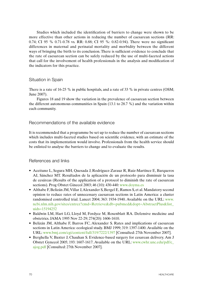Studies which included the identification of barriers to change were shown to be more effective than other actions in reducing the number of caesarean sections (RR: 0.74; CI 95 % 0.71-0.78 vs. RR: 0.88; CI 95 %: 0.82-0.94). There were no significant differences in maternal and perinatal mortality and morbidity between the different ways of bringing the birth to its conclusion. There is sufficient evidence to conclude that the rate of caesarean section can be safely reduced by the use of multi-faceted actions that call for the involvement of health professionals in the analysis and modification of the indicators for this practice.

#### Situation in Spain

There is a rate of 16-25 % in public hospitals, and a rate of 33 % in private centres (OSM; June 2007).

Figures 18 and 19 show the variation in the prevalence of caesarean section between the different autonomous communities in Spain (13.1 to 28.7 %) and the variation within each community.

#### Recommendations of the available evidence

It is recommended that a programme be set up to reduce the number of caesarean sections which includes multi-faceted studies based on scientific evidence, with an estimate of the costs that its implementation would involve. Professionals from the health service should be enlisted to analyse the barriers to change and to evaluate the results.

#### References and links

- • Aceituno L, Segura MH, Quesada J, Rodríguez-Zarauz R, Ruiz-Martínez E, Barqueros AI, Sánchez MT. Resultados de la aplicación de un protocolo para disminuir la tasa de cesáreas (Results of the application of a protocol to diminish the rate of caesarean sections). Prog Obstet Ginecol 2003; 46 (10): 430-440: www.doyma.es
- Althabe F, Belizán JM, Villar J, Alexander S, Bergel E, Ramos S, et al. Mandatory second opinion to reduce rates of unnecessary caesarean sections in Latin America: a cluster randomised controlled trial. Lancet 2004; 363: 1934-1940. Available on the URL: www. ncbi.nlm.nih.gov/sites/entrez?cmd=Retrieve&db=pubmed&dopt=AbstractPlus&list\_ uids=15194252
- Baldwin LM, Hart LG, Lloyd M, Fordyce M, Rosenblatt RA. Defensive medicine and obstetrics. JAMA 1995 Nov 22-29; 274(20): 1606-1610.
- Belizán JM, Althabe F, Barros FC, Alexander S. Rates and implications of caesarean sections in Latin America: ecological study. BMJ 1999; 319: 1397-1400. Available on the URL: www.bmj.com/cgi/content/full/319/7222/1397 [Consulted: 27th November 2007].
- Berghella V, Baxter J, Chauhan S. Evidence-based surgery for cesarean delivery. Am J Obstet Gynecol 2005; 193: 1607-1617. Available on the URL: www.cwhr.unc.edu/pdf/c\_ ajog.pdf [Consulted: 27th November 2007].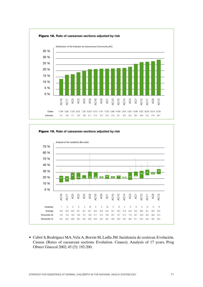



• Cabré S,Rodríguez MA,Vela A, Borrás M,Lailla JM.Incidencia de cesáreas. Evolución. Causas (Rates of caesarean sections. Evolution. Causes). Analysis of 17 years. Prog Obstet Ginecol 2002; 45 (5): 192-200.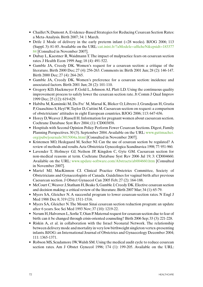- Chaillet N, Dumont A. Evidence-Based Strategies for Reducing Cesarean Section Rates: a Meta-Analysis. Birth 2007; 34: 1 March.
- Drife J. Mode of delivery in the early preterm infant (<28 weeks). BJOG 2006; 113 (Suppl. 3): 81-85. Available on the URL: cat.inist.fr/?aModele=afficheN&cpsidt=183377 84 [Consulted in November 2007].
- Dubay L, Kaestner R, Waidmann T. The impact of malpractice fears on cesarean section rates. J Health Econ 1999 Aug; 18 (4): 491-522.
- Gamble JA, Creedy DK. Women's request for a cesarean section: a critique of the literature. Birth 2000 Dec; 27 (4): 256-263. Comments in: Birth 2001 Jun; 28 (2): 146-147. Birth 2000 Dec; 27 (4): 264-265.
- • Gamble JA, Creedy DK. Women's preference for a cesarean section: incidence and associated factors. Birth 2001 Jun; 28 (2): 101-110.
- Gregory KD, Hackmeyer P, Gold L, Johnson AI, Platt LD. Using the continuous quality improvement process to safely lower the cesarean section rate. Jt Comm J Qual Improv 1999 Dec; 25 (12): 619-629.
- • Habiba M, Kaminski M, Da Fre` M, Marsal K, Bleker O, Librero J, Grandjean H, Gratia P, Guaschino S, Heyl W, Taylor D, Cuttini M. Caesarean section on request: a comparison of obstetricians' attitudes in eight European countries. BJOG 2006; 113: 647-656.
- Horey D, Weaver J, Russell H. Information for pregnant women about caesarean section. Cochrane Database Syst Rev 2004; (1): CD003858.
- Hospitals with Second Opinion Policy Perform Fewer Cesarean Sections. Digest, Family Planning Perspectives. 30 (3). September 2004. Available on the URL: www.guttmacher. org/pubs/journals/3015004a.html [Consulted in November 2007].
- Kristensen MO, Hedegaard M, Secher NJ. Can the use of cesarean section be regulated? A review of methods and results. Acta Obstetricia Gynecologica Scandinavica 1998; 77: 951-960.
- Lavender T, Hofmeyr GJ, Neilson JP, Kingdon C, Gyte GM. Caesarean section for non-medical reasons at term. Cochrane Database Syst Rev 2006 Jul 19; 3: CD004660. Available on the URL: www.update-software.com/Abstracts/ab004660.htm [Consulted in November 2007].
- Martel MJ, MacKinnon CJ. Clinical Practice Obstetrics Committee, Society of Obstetricians and Gynaecologists of Canada. Guidelines for vaginal birth after previous Caesarean section. J Obstet Gynaecol Can 2005 Feb; 27 (2): 164-188.
- McCourt C, Weaver J, Statham H, Beake S, Gamble J, Creedy DK. Elective cesarean section and decision making: a critical review of the literature. Birth 2007 Mar; 34 (1): 65-79.
- Myers SA, Gleicher N. A successful program to lower cesarean-section rates. N Engl J Med 1988 Dec 8; 319 (23): 1511-1516.
- Myers SA, Gleicher N. The Mount Sinai cesarean section reduction program: an update after 6 years. Soc Sci Med 1993 Nov; 37 (10): 1219-22.
- Nerum H, Halvorsen L, Sorlie T, Oian P. Maternal request for cesarean section due to fear of birth: can it be changed through crisis-oriented counseling? Birth 2006 Sep; 33 (3): 221-228.
- Riskin A, et al. in collaboration with the Israel Neonatal Network. The relationship between delivery mode and mortality in very low birthweight singleton vertex-presenting infants. BJOG: an International Journal of Obstetrics and Gynaecology December 2004;  $111 \cdot 1365 - 1371$
- Robson MS, Scudamore IW, Walsh SM. Using the medical audit cycle to reduce cesarean section rates. Am J Obstet Gynecol 1996; 174 (1): 199-205. Available on the URL: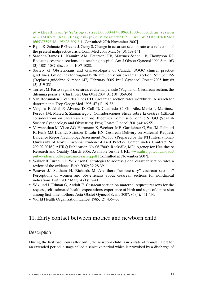pt.wkhealth.com/pt/re/ajog/abstract.00000447-199601000-00031.htm;jsession id=HMXVxGb3TGF54gRsk2jn221Vjvd4xZwhHXGJwc1WRJBc0CR0Mdt b!65375592!181195628!8091!-1 [Consulted: 27th November 2007].

- Ryan K, Schnatz P, Greene J, Curry S. Change in cesarean section rate as a reflection of the present malpractice crisis. Conn Med 2005 Mar; 69 (3): 139-141.
- • Sánchez-Ramos L, Kaunitz AM, Peterson HB, Martínez-Schnell B, Thompson RJ. Reducing cesarean sections at a teaching hospital. Am J Obstet Gynecol 1990 Sep; 163 (3): 1081-1087; discussion 1087-1088.
- Society of Obstetricians and Gynaecologists of Canada. SOGC clinical practice guidelines. Guidelines for vaginal birth after previous caesarean section. Number 155 (Replaces guideline Number 147), February 2005. Int J Gynaecol Obstet 2005 Jun; 89 (3): 319-331.
- Torres JM. Parto vaginal o cesárea: el dilema persiste (Vaginal or Caesarean section: the dilemma persists). Clin Invest Gin Obst 2004; 31 (10): 359-361.
- • Van Roosmalen J, Van der Does CD. Caesarean section rates worldwide. A search for determinants. Trop Geogr Med 1995; 47 (1): 19-22.
- • Vergara F, Abel F, Álvarez D, Coll D, Cuadrado C, González-Merlo J, Martínez-Pereda JM, Mateu S, Zamarriego J. Consideraciones éticas sobre la cesárea (Ethical considerations on caesarean section). Bioethics Commission of the SEGO (Spanish Society Gynaecology and Obstetrics). Prog Obstet Ginecol 2001; 44: 46-55.
- • Viswanathan M, Visco AG, Hartmann K,Wechter, ME, Gartlehner G,Wu JM, Palmieri R, Funk MJ, Lux, LJ, Swinson T, Lohr KN. Cesarean Delivery on Maternal Request. Evidence Report/Technology Assessment No. 133. (Prepared by the RTI International-University of North Carolina Evidence-Based Practice Center under Contract No. 290-02-0016.) AHRQ Publication No. 06-E009. Rockville, MD: Agency for Healthcare Research and Quality. March 2006. Available on the URL: www.ahrq.gov/downloads/ pub/evidence/pdf/cesarean/cesarreq.pdf [Consulted in November 2007].
- Walker R, Turnbull D, Wilkinson C. Strategies to address global cesarean section rates: a review of the evidence. Birth 2002; 29: 28-39.
- Weaver JJ, Statham H, Richards M. Are there "unnecessary" cesarean sections? Perceptions of women and obstetricians about cesarean sections for nonclinical indications. Birth 2007 Mar; 34 (1): 32-41.
- Wiklund I, Edman G, Andolf E. Cesarean section on maternal request: reasons for the request, self-estimated health, expectations, experience of birth and signs of depression among first-time mothers. Acta Obstet Gynecol Scand 2007; 86 (4): 451-456.
- World Health Organization. Lancet 1985; (2): 436-437.

## 11. Early contact between mother and newborn child

### **Description**

During the first two hours after birth, the newborn child is in a state of tranquil alert for an extended period, a stage called a sensitive period which is provoked by a discharge of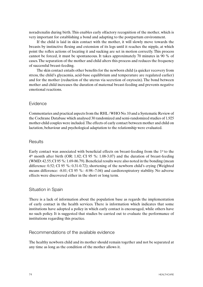noradrenalin during birth. This enables early olfactory recognition of the mother, which is very important for establishing a bond and adapting to the postpartum environment.

If the child is laid in skin contact with the mother, it will slowly move towards the breasts by instinctive flexing and extension of its legs until it reaches the nipple, at which point the reflex actions of locating it and sucking are set in motion correctly. This process cannot be forced, it must be spontaneous. It takes approximately 70 minutes in 90 % of cases. The separation of the mother and child alters this process and reduces the frequency of successful breast-feeding.

The skin contact entails other benefits for the newborn child (a quicker recovery from stress, the child's glycaemia, acid-base equilibrium and temperature are regulated earlier) and for the mother (reduction of the uterus via secretion of oxytocin). The bond between mother and child increases the duration of maternal breast-feeding and prevents negative emotional reactions.

#### Evidence

Commentaries and practical aspects from the RHL / WHO No. 10 and a Systematic Review of the Cochrane Database which analysed 30 randomized and semi-randomized studies of 1,925 mother-child couples were included. The effects of early contact between mother and child on lactation, behaviour and psychological adaptation to the relationship were evaluated.

#### **Results**

Early contact was associated with beneficial effects on breast-feeding from the  $1<sup>st</sup>$  to the 4th month after birth (OR: 1.82; CI 95 %: 1.08-3.07) and the duration of breast-feeding (WMD: 42.55; CI 95 %: 1.69-86.79). Beneficial results were also noted in the bonding (mean difference: 0.52; CI 95 %: 0.31-0.72); shortening of the newborn child's crying (Weighted means difference: -8.01; CI 95 %: -8.98--7.04) and cardiorespiratory stability. No adverse effects were discovered either in the short or long term.

#### Situation in Spain

There is a lack of information about the population base as regards the implementation of early contact in the health services. There is information which indicates that some institutions have adopted a policy in which early contact is encouraged, while others have no such policy. It is suggested that studies be carried out to evaluate the performance of institutions regarding this practice.

#### Recommendations of the available evidence

The healthy newborn child and its mother should remain together and not be separated at any time as long as the condition of the mother allows it.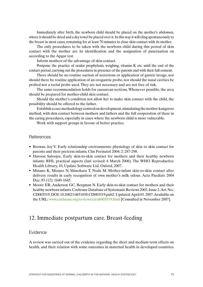Immediately after birth, the newborn child should be placed on the mother's abdomen, where it should be dried and a dry towel be placed over it. In this way it will cling spontaneously to the breast in most cases, remaining for at least 70 minutes in close skin contact with its mother.

The only procedures to be taken with the newborn child during this period of skin contact with the mother are its identification and the assignation of punctuation on according to the Apgar test.

Inform mothers of the advantage of skin contact.

Postpone the practice of ocular prophylaxis, weighing, vitamin K etc. until the end of the contact period, carrying out the procedures in presence of the parents and with their full consent.

There should be no routine suction of secretions or application of gastric lavage, nor should there be routine application of an orogastric probe, nor should the nasal cavities be probed nor a rectal probe used. They are not necessary and are not free of risk.

The same recommendation holds for caesarean sections. Whenever possible, the area should be prepared for mother-child skin contact.

Should the mother's condition not allow her to make skin contact with the child, the possibility should be offered to the father.

Establish a care methodology centred on development, stimulating the mother-kangaroo method, with skin contact between mothers and fathers and the full cooperation of these in the caring procedures, especially in cases where the newborn child is more vulnerable.

Work with support groups in favour of better practice.

#### **References**

- Browne Joy V. Early relationship environments: physiology of skin to skin contact for parents and their preterm infants. Clin Perinatol 2004; 2: 287-298.
- Haroon Saloojee. Early skin-to-skin contact for mothers and their healthy newborn infants: RHL practical aspects (last revised: 6 March 2006). The WHO Reproductive Health Library, 10, Update Software Ltd, Oxford, 2007.
- Mizuno K, Mizuno N, Shinohara T, Noda M. Mother-infant skin-to-skin contact after delivery results in early recognition of own mother's milk odour. Acta Paediatr 2004 Dec; 93 (12): 1640-1645.
- Moore ER, Anderson GC, Bergman N. Early skin-to-skin contact for mothers and their healthy newborn infants. Cochrane Database of Systematic Reviews 2003, Issue 2. Art. No.: CD003519. DOI: 10.1002/14651858.CD003519.pub2. Updated: April 03. 2007. Available on the URL: www.cochrane.org/reviews/en/ab003519.html [Consulted in November 2007].

### 12. Immediate postpartum care. Breast-feeding

#### Evidence

A review was carried out of the evidence regarding the short and medium term effects on health, and their relation with some outcomes in maternal health in developed countries.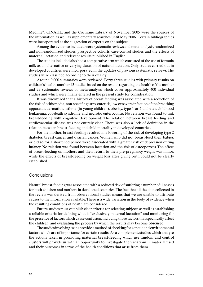Medline®, CINAHL, and the Cochrane Library of November 2005 were the sources of the information as well as supplementary searches until May 2006. Certain bibliographies were incorporated at the suggestion of experts on the subject.

Among the evidence included were systematic reviews and meta-analysis, randomized and non-randomized studies, prospective cohorts, case-control studies and the effects of maternal lactation and relevant results published in English.

The studies included also had a comparative arm which consisted of the use of formula milk as an alternative or varying duration of natural lactation. Only studies carried out in developed countries were incorporated in the updates of previous systematic reviews. The studies were classified according to their quality.

Around 9,000 summaries were reviewed. Forty-three studies with primary results on children's health, another 43 studies based on the results regarding the health of the mother and 29 systematic reviews or meta-analysis which cover approximately 400 individual studies and which were finally entered in the present study for consideration.

It was discovered that a history of breast feeding was associated with a reduction of the risk of otitis media, non-specific gastro-enteritis, low or severe infection of the breathing apparatus, dermatitis, asthma (in young children), obesity, type 1 or 2 diabetes, childhood leukaemia, cot-death syndrome and necrotic enterocolitis. No relation was found to link breast-feeding with cognitive development. The relation between breast feeding and cardiovascular disease was not entirely clear. There was also a lack of definition in the relation between breast-feeding and child mortality in developed countries.

For the mother, breast-feeding resulted in a lowering of the risk of developing type 2 diabetes, breast cancer and ovarian cancer. Women who did not breast-feed their babies, or did so for a shortened period were associated with a greater risk of depression during infancy. No relation was found between lactation and the risk of osteoporosis. The effect of breast-feeding on mothers and their return to their pre-pregnancy weight was minor, while the effects of breast-feeding on weight loss after giving birth could not be clearly established.

#### **Conclusions**

Natural breast-feeding was associated with a reduced risk of suffering a number of illnesses for both children and mothers in developed countries. The fact that all the data collected in the review was derived from observational studies means that we are unable to attribute causes to the information available. There is a wide variation in the body of evidence when the resulting conditions of health are considered.

Future studies must establish clear criteria for selecting subjects as well as establishing a reliable criteria for defining what is "exclusively maternal lactation" and monitoring for the presence of factors which cause confusion, including those factors that specifically affect the children, and evaluating the process by which the results may become obscured.

The studies involving twins provide a method of checking for genetic and environmental factors which are of importance for certain results. As a complement, studies which analyse the actions taken in promoting maternal breast-feeding which use random and control clusters will provide us with an opportunity to investigate the variations in material used and their outcomes in terms of the health conditions that arise from them.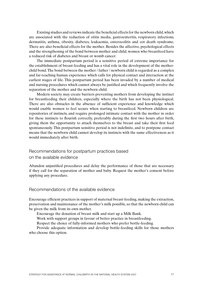Existing studies and reviews indicate the beneficial effects for the newborn child, which are associated with the reduction of otitis media, gastroenteritis, respiratory infections, dermatitis, asthma, obesity, diabetes, leukaemia, enterocolitis and cot death syndrome. There are also beneficial effects for the mother. Besides the affective, psychological effects and the strengthening of the bond between mother and child, women who breastfeed have a reduced risk of diabetes and breast or womb cancer.

The immediate postpartum period is a sensitive period of extreme importance for the establishment of breast-feeding and has a vital role in the development of the motherchild bond. The bond between the mother / father / newborn child is regarded as a complex and far-reaching human experience which calls for physical contact and interaction at the earliest stages of life. This postpartum period has been invaded by a number of medical and nursing procedures which cannot always be justified and which frequently involve the separation of the mother and the newborn child.

Modern society may create barriers preventing mothers from developing the instinct for breastfeeding their children, especially where the birth has not been physiological. There are also obstacles in the absence of sufficient experience and knowledge which would enable women to feel secure when starting to breastfeed. Newborn children are repositories of instincts, and require prolonged intimate contact with the mother in order for these instincts to flourish correctly, preferably during the first two hours after birth, giving them the opportunity to attach themselves to the breast and take their first feed spontaneously. This postpartum sensitive period is not indefinite, and to postpone contact means that the newborn child cannot develop its instincts with the same effectiveness as it would immediately after birth.

Recommendations for postpartum practices based

on the available evidence

Abandon unjustified procedures and delay the performance of those that are necessary if they call for the separation of mother and baby. Request the mother's consent before applying any procedure.

### Recommendations of the available evidence

Encourage efficient practices in support of maternal breast-feeding, making the extraction, preservation and maintenance of the mother's milk possible, so that the newborn child can be given the milk from its own mother.

Encourage the donation of breast milk and start up a Milk Bank.

Work with support groups in favour of better practice in breastfeeding.

Respect the choice of fully-informed mothers who prefer bottle-feeding.

Provide adequate information and develop bottle-feeding skills for those mothers who choose this option.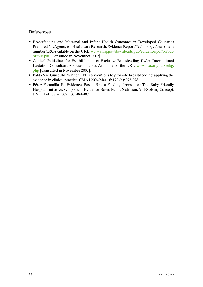### **References**

- • Breastfeeding and Maternal and Infant Health Outcomes in Developed Countries Prepared for: Agency for Healthcare Research. Evidence Report/Technology Assessment number 153. Available on the URL: www.ahrq.gov/downloads/pub/evidence/pdf/brfout/ brfout.pdf [Consulted in November 2007].
- Clinical Guidelines for Establishment of Exclusive Breasfeeding. ILCA. International Lactation Consultant Association 2005. Available on the URL: www.ilca.org/pubs/ebg. php [Consulted in November 2007].
- Palda VA, Guise JM, Wathen CN. Interventions to promote breast-feeding: applying the evidence in clinical practice. CMAJ 2004 Mar 16; 170 (6): 976-978.
- Pérez-Escamilla R. Evidence Based Breast-Feeding Promotion: The Baby-Friendly Hospital Initiative. Symposium: Evidence-Based Public Nutrition: An Evolving Concept. J Nutr February 2007; 137: 484-487 .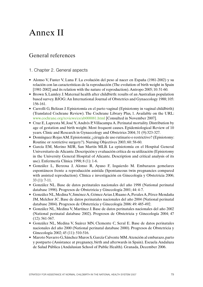# Annex II

## General references

- 1. Chapter 2. General aspects
- • Alonso V, Fuster V, Luna F. La evolución del peso al nacer en España (1981-2002) y su relación con las características de la reproducción (The evolution of birth weight in Spain [1981-2002] and its relation with the nature of reproduction). Antropo 2005; 10: 51-60.
- Brown S, Lumley J. Maternal health after childbirth: results of an Australian population based survey. BJOG: An International Journal of Obstetrics and Gynaecology 1988; 105: 156-161.
- Carrolli G, Belizan J. Episiotomía en el parto vaginal (Episiotomy in vaginal childbirth) (Translated Cochrane Review). The Cochrane Library Plus, 1. Available on the URL: www.cochrane.org/reviews/es/ab000081.html [Consulted in November 2007].
- Cruz E, Lapresta M, José Y, Andrés P, Villacampa A. Perinatal mortality. Distribution by age of gestation and birth weight. Most frequent causes. Epidemiological Review of 10 years. Clinic and Research in Gynaecology and Obstetrics 2004; 31 (9):323-327.
- Domínguez Rojas AM. Episiotomía: ¿cirugía de uso rutinario o restrictivo? (Episiotomy: Routine or restrictive surgery?). Nursing Objectives 2003; 60: 58-60.
- • García EM, Merino MJR, San Martín MLB. La episiotomía en el Hospital General Universitario de Alicante. Descripción y evaluación crítica de su utilización (Episiotomy in the University General Hospital of Alicante. Description and critical analysis of its use). Enfermería Clínica 1998; 8 (1): 1-6.
- • González L, Berzosa J, Alonso R, Ayuso F, Izquierdo M. Embarazos gemelares espontáneos frente a reproducción asistida (Spontaneous twin pregnancies compared with assisted reproduction). Clínica e investigación en Ginecología y Obstetricia 2006; 33 (1): 7-11.
- • González NL. Base de datos perinatales nacionales del año 1998 (National perinatal database 1998). Progresos de Obstetricia y Ginecología 2001; 44: 4-7.
- • González NL,MedinaV, JiménezA,GómezArias J,RuanoA,PeralesA,Pérez-Mendaña JM, Melchor JC. Base de datos perinatales nacionales del año 2004 (National perinatal database 2004). Progresos de Obstetricia y Ginecología 2006: 49: 485-492.
- • González NL, Medina V, Martínez J. Base de datos perinatales nacionales del año 2002 (National perinatal database 2002). Progresos de Obstetricia y Ginecología 2004; 47 (12): 561-567.
- • González NL, Medina V, Suárez MN, Clemente C, Seral E. Base de datos perinatales nacionales del año 2000 (National perinatal database 2000). Progresos de Obstetricia y Ginecología 2002; 45 (11): 510-516.
- • Maroto Navarro G,Sánchez Muros S,García Calvente MM.Atención al embarazo,parto y postparto (Assistance at pregnancy, birth and afterwards in Spain). Escuela Andaluza de Salud Pública (Andalusian School of Public Health). Granada, December 2006.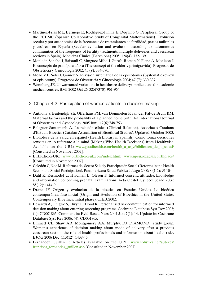- Martínez-Frías ML, Bermejo E, Rodríguez-Pinilla E, Dequino G, Peripheral Group of the ECEMC (Spanish Collaborative Study of Congenital Malformations). Evolución secular y por autonomías de la frecuencia de tratamientos de fertilidad, partos múltiples y cesáreas en España (Secular evolution and evolution according to autonomous communities of the frequency of fertility treatments, multiple deliveries and caesarean sections in Spain). Medicina Clínica (Barcelona) 2005; 124(4): 132-139.
- • Monleón Sancho J, Baixauli C, Mínguez Milio J, García Román N, Plana A, Monleón J. El concepto de primípara añosa (The concept of the elderly primigravida). Progresos de Obstetricia y Ginecología 2002; 45 (9): 384-390.
- Mozo ML, Solís I, Gómez N. Revisión sistemática de la episiotomía (Systematic review) of episiotomy). Progresos de Obstetricia y Ginecología 2004; 47:(7): 330-337.
- Wennberg JE. Unwarranted variations in healthcare delivery: implications for academic medical centres. BMJ 2002 Oct 26; 325(7370): 961-964.
- 2. Chapter 4.2. Participation of women patients in decision making
- • Anthony S, Buitendijk SE, Offerhaus PM, van Dommelen P, van der Pal-de Bruin KM. Maternal factors and the probalility of a planned home birth. An International Journal of Obstetrics and Gynecology 2005 Jun; 112(6):748-753.
- • Balaguer Santamaría A. La relación clínica (Clinical Relation). Associació Catalana d'Estudis Bioetics (Catalan Association of Bioethical Studies). Updated: October 2003.
- • Biblioteca de la Salud en español (Health Library in Spanish). Cómo tomar decisiones sensatas en lo referente a la salud (Making Wise Health Decisions) from Healthwise. Available on the URL: www.goodhealth.com/health a to z/biblioteca de la salud/ [Consulted in November 2007].
- BirthChoiceUK: www.birthchoiceuk.com/index.html; www.npeu.ox.ac.uk/birthplace/ [Consulted in November 2007].
- Celedón C, Noe M. Reformas del Sector Salud y Participación Social (Reforms in the Health Sector and Social Participation). Panamericana Salud Pública Jul/ago 2000; 8 (1-2): 99-104.
- Dahl K, Kesmodel U, Hvidman L, Olesen F. Informed consent: attitudes, knowledge and information concerning prenatal examinations. Acta Obstet Gynecol Scand 2006; 85(12): 1414-9.
- • Drane JF. Origen y evolución de la bioética en Estados Unidos. La bioética contemporánea: fase inicial (Origin and Evolution of Bioethics in the United States. Contemporary Bioethics: initial phase). CIEB, 2002.
- Edwards A, Unigwe S, Elwyn G, Hood K. Personalised risk communication for informed decision making about entering screening programs. Cochrane Database Syst Rev 2003; (1): CD001865. Comment in: Evid Based Nurs 2004 Jan; 7(1): 14. Update in: Cochrane Database Syst Rev 2006; (4): CD001865.
- Emmett CL, Shaw AR, Montgomery AA, Murphy, DJ. DiAMOND study group. Women's experience of decision making about mode of delivery after a previous caesarean section: the role of health professionals and information about health risks. BJOG 2006 Dec; 113(12): 1438-45.
- • Fernández Guillén F. Articles available on the URL: www.holistika.net/autores/ francisca\_fernandez\_guillen.asp [Consulted in November 2007].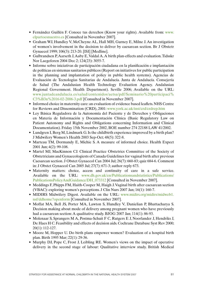- Fernández Guillén F. Conoce tus derechos (Know your rights). Available from: www. elpartoesnuestro.es [Consulted in November 2007].
- Graham WJ, Hundley V, McCheyne AL, Hall MH, Gurney E, Milne J. An investigation of women's involvement in the decision to deliver by caesarean section. Br J Obstetr Gynaecol 1999; 106(3): 213-20. [ISI] [Medline].
- Gulbrandsen P, Aarseth J, Aaby E, Valdal A. A birth plan-effects and evaluation. Tidsskr Nor Laegeforen 2004 Dec 2; 124(23): 3055-7.
- • Informe sobre iniciativas de participación ciudadana en la planificación e implantación de políticas en sistemas sanitarios públicos (Report on initiatives for public participation in the planning and implantation of policy in public health systems). Agencias de Evaluación de Tecnologías Sanitarias de Andalucía. Junta de Andalucía. Consejería de Salud (The Andalusian Health Technology Evaluation Agency. Andalusian Regional Government. Health Department). Seville 2006; Available on the URL: www.juntadeandalucia.es/salud/contenidos/aetsa/pdf/Seminario%20participaci% C3%B3n%2016-02-2006-3.pdf [Consulted in November 2007].
- Informed choice in maternity care: an evaluation of evidence based leaflets. NHS Centre for Reviews and Dissemination (CRD), 2001: www.york.ac.uk/inst/crd/crdrep.htm
- • Ley Básica Reguladora de la Autonomía del Paciente y de Derechos y Obligaciones en Materia de Información y Documentación Clínica (Basic Regulatory Law on Patient Autonomy and Rights and Obligations concerning Information and Clinical Documentation). Friday 15th November 2002, BOE number 274 22188 LAW 41/2002.
- Lundgren I, Berg M, Lindmark G. Is the childbirth experience improved by a birth plan? J Midwifery Women's Health 2003 Sep-Oct; 48(5): 322-8.
- Marteau TM, Dormandy E, Michie S. A measure of informed choice. Health Expect 2001 Jun; 4(2): 99-108.
- Martel MJ, MacKinnon CJ. Clinical Practice Obstetrics Committee of the Society of Obstetricians and Gynaecologiests of Canada Guidelines for vaginal birth after previous Caesarean section. J Obstet Gynaecol Can 2004 Jul; 26(7): 660-83; quiz 684-6. Comment in: J Obstet Gynaecol Can 2005 Jul; 27(7): 671-3; author reply 673.
- Maternity matters: choice, access and continuity of care in a safe service. Available on the URL: www.dh.gov.uk/en/Publicationsandstatistics/Publications/ PublicationsPolicyAndGuidance/DH\_073312 [Consulted in November 2007].
- Meddings F, Phipps FM, Haith-Cooper M, Haigh J. Vaginal birth after caesarean section (VBAC): exploring women's perceptions. J Clin Nurs 2007 Jan; 16(1): 160-7.
- MIDIRS Midwifery Digest. Available on the URL: www.midirs.org/midirs/midweb1. nsf/ddhome?openform [Consulted in November 2007].
- • Moffat MA, Bell JS, Porter MA, Lawton S, Hundley V, Danielian P, Bhattacharya S. Decision making about mode of delivery among pregnant women who have previously had a caesarean section: A qualitative study. BJOG 2007 Jan; 114(1): 86-93.
- Molenaar S, Sprangers M A, Postma-Schuit F C, Rutgers E J, Noorlander J, Hendriks J, De Haes H C. Feasibility and effects of decision aids. Cochrane Database Syst Rev 2000; 20(1): 112-127.
- Moore M, Hopper U. Do birth plans empower women? Evaluation of a hospital birth plan. Birth 1995 Mar; 22(1): 29-36.
- Murphy DJ, Pope C, Frost J, Leibling RE. Women's views on the impact of operative delivery in the second stage of labour: Qualitative interview study. British Medical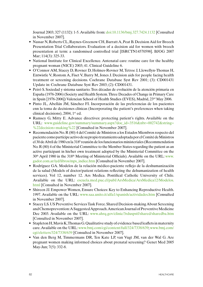Journal 2003; 327 (1132): 1-5. Available from: doi:10.1136/bmj.327.7424.1132 [Consulted in November 2007].

- Nassar N, Roberts CL, Raynes-Greenow CH, Barratt A, Peat B. Decision Aid for Breech Presentation Trial Collaborators. Evaluation of a decision aid for women with breech presentation at term: a randomised controlled trial [ISRCTN14570598]. BJOG 2007 Mar; 114(3): 325-33.
- National Institute for Clinical Excellence. Antenatal care: routine care for the healthy pregnant woman (NICE) 2003; 41. Clinical Guideline 6.
- • O'Connor AM, Stacey D, Rovner D, Holmes-Rovner M,Tetroe J, Llewellyn-Thomas H, Entwistle V, Rostom A, Fiset V, Barry M, Jones J. Decision aids for people facing health treatment or screening decisions. Cochrane Database Syst Rev 2001; (3): CD001431 Update in: Cochrane Database Syst Rev 2003; (2): CD001431.
- • Peiró S. Sociedad y sistema sanitario.Tres décadas de evolución de la atención primaria en España (1976-2006) (Society and Health System. Three Decades of Change in Primary Care in Spain [1976-2006]) Valencian School of Health Studies (EVES), Madrid, 23rd May 2006.
- • Pinto JL, Abellán JM, Sánchez FI. Incorporación de las preferencias de los pacientes enn la toma de decisiones clínicas (Incorporating the patient's preferences when taking clinical decisions), 2004, 1st ed.
- Ramsey G, Mitty E. Advance directives: protecting patient's rights. Available on the URL: www.guideline.gov/summary/summary.aspx?doc\_id=3516&nbr=002742&string= %22decision+making%22 [Consulted in November 2007].
- • Recomendación No.R (80) 4 del Comité de Ministros a los Estados Miembrosrespecto del pacientecomopartícipeactivodesupropiotratamientoadoptadaporelComitédeMinistros el 30 deAbril de 1980 en la 318ªreunión de losfuncionarios ministeriales(Recommendation No. R (80) 4 of the Ministerial Committee to the Member States regarding the patient as an active participant in his/her own treatment adopted by the Ministerial Committee on the 30th April 1980 in the 318th Meeting of Ministerial Officials). Available on the URL: www. gador.com.ar/iyd/libros/mps\_indice.htm [Consulted in November 2007].
- • Rodríguez GA. Modelos de la relación médico-paciente reflejo de la deshumanización de la salud (Models of doctor/patient relations reflecting the dehumanization of health services). Vol 12, number 12. Ars Medica. Pontifical Catholic University of Chile. Available on the URL: escuela.med.puc.cl/publ/ArsMedica/ArsMedica12/Modelos. html [Consulted in November 2007].
- Shireen JJ. Empower Women, Ensure Choices: Key to Enhancing Reproductive Health. 1997. Available on the URL: www.saa.unito.it/alfa1/spanish/actividades.htm [Consulted in November 2007].
- Stacey LS. US Preventive Services Task Force. Shared Decision-making About Screening and Chemoprevention: A Suggested Approach. American Journal of Preventive Medicine Dec 2003. Available on the URL: www.ahrq.gov/clinic/3rduspstf/shared/sharedba.htm [Consulted in November 2007].
- Stapleton H, Mavis K, Thomas G. Qualitative study of evidence based leaflets in maternity care. Available on the URL: www.bmj.com/cgi/content/full/324/7338/639; www.bmj.com/ cgi/eletters/324/7338/639 [Consulted in November 2007].
- Van den Berg M, Timmermans DR, Ten Kate LP, van Vugt JM, van der Wal G. Are pregnant women making informed choices about prenatal screening? Genet Med 2005 May-Jun; 7(5): 332-8.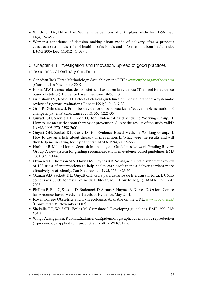- Whitford HM, Hillan EM. Women's perceptions of birth plans. Midwifery 1998 Dec; 14(4): 248-53.
- Women's experience of decision making about mode of delivery after a previous caesarean section: the role of health professionals and information about health risks. BJOG 2006 Dec; 113(12): 1438-45.

3. Chapter 4.4. Investigation and innovation. Spread of good practices in assistance at ordinary childbirth

- Canadian Task Force Methodology. Available on the URL: www.ctfphc.org/methods.htm [Consulted in November 2007].
- Enkin MW. La necesidad de la obstetricia basada en la evidencia (The need for evidence based obstetrics). Evidence based medicine 1996; 1:132.
- Grimshaw JM, Rossel IT. Effect of clinical guidelines on medical practice: a systematic review of rigorous evaluations. Lancet 1993; 342: 1317-22.
- Grol R, Grimshaw J. From best evidence to best practice: effective implementation of change in patients' care. Lancet 2003; 362: 1225-30.
- • Guyatt GH, Sacket DL, Cook DJ for Evidence-Based Medicine Working Group. II. How to use an article about therapy or prevention. A. Are the results of the study valid? JAMA 1993; 270: 2598-2601.
- • Guyatt GH, Sacket DL, Cook DJ for Evidence-Based Medicine Working Group. II. How to use an article about therapy or prevention. B. What were the results and will they help me in caring for my patients? JAMA 1994; 271: 59-63.
- Harbour R, Millar J for the Scottish Intercollegiate Guidelines Network Grading Review Group. A new system for grading recommendations in evidence based guidelines. BMJ 2001; 323: 334-6.
- Oxman AD, Thomson MA, Davis DA, Haynes RB. No magic bullets: a systematic review of 102 trials of interventions to help health care professionals deliver services more effectively or efficiently. Can Med Assoc J 1995; 153: 1423-31.
- • Oxman AD, Sackett DL, Guyatt GH. Guía para usuarios de literatura médica. I. Cómo comenzar (Guide for users of medical literature. I. How to begin). JAMA 1993; 270: 2093.
- Phillips B, Ball C, Sackett D, Badenoch D, Straus S, Haynes B, Dawes D. Oxford Centre for Evidence-based Medicine, Levels of Evidence, May 2001.
- Royal College Obstetrics and Gynaecologists. Available on the URL: www.rcog.org.uk/ [Consulted: 23rd November 2007].
- Shekelle PG, Wolf SH, Eccles M, Grimshaw J. Developing guidelines. BMJ 1999; 318: 593-6.
- Wingo A, Higgins E, Rubin L, Zahniser C. Epidemiología aplicada a la salud reproductiva (Epidemiology applied to reproductive health). WHO, 1996.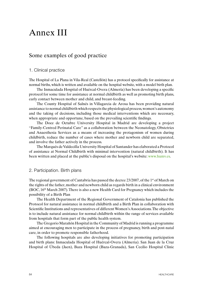## Annex III

### Some examples of good practice

#### 1. Clinical practice

The Hospital of La Plana in Vila-Real (Castellón) has a protocol specifically for assistance at normal births, which is written and available on the hospital website, with a model birth plan.

The Inmaculada Hospital of Huércal-Overa (Almería) has been developing a specific protocol for some time for assistance at normal childbirth as well as promoting birth plans, early contact between mother and child, and breast-feeding.

The County Hospital of Salnés in Villagarcia de Arosa has been providing natural assistance to normal childbirth which respects the physiological process, women's autonomy and the taking of decisions, including those medical interventions which are necessary, when appropriate and opportune, based on the prevailing scientific findings.

The Doce de Octubre University Hospital in Madrid are developing a project "Family-Centred Perinatal Care" as a collaboration between the Neonatology, Obstetrics and Anaesthesia Services as a means of increasing the protagonism of women during childbirth, reduce the number of cases where mother and newborn child are separated, and involve the father actively in the process.

The Marqués de Valdecilla University Hospital of Santander has elaborated a Protocol of assistance at Normal Childbirth with minimal intervention (natural childbirth). It has been written and placed at the public's disposal on the hospital's website: www.humv.es.

#### 2. Participation. Birth plans

The regional government of Cantabria has passed the decree 23/2007, of the 1<sup>st</sup> of March on the rights of the father, mother and newborn child as regards birth in a clinical environment  $(BOC, 16<sup>th</sup> March 2007)$ . There is also a new Health Card for Pregnancy which includes the possibility of a Birth Plan

The Health Department of the Regional Government of Catalonia has published the Protocol for natural assistance in normal childbirth and a Birth Plan in collaboration with Scientific Institutions and representatives of different Women's Associations. The objective is to include natural assistance for normal childbirth within the range of services available from hospitals that form part of the public health system.

The Gregorio Marañón Hospital in the Community of Madrid isrunning a programme aimed at encouraging men to participate in the process of pregnancy, birth and post-natal care, in order to promote responsible fatherhood.

The following hospitals are also developing initiatives for promoting participation and birth plans: Inmaculada Hospital of Huércal-Overa (Almeria). San Juan de la Cruz Hospital of Úbeda (Jaen), Baza Hospital (Baza-Granada), San Cecilio Hospital Clinic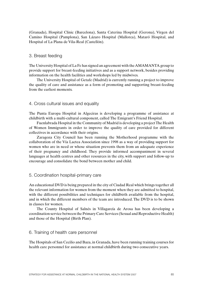(Granada), Hospital Clinic (Barcelona), Santa Caterina Hospital (Gerona), Virgen del Camino Hospital (Pamplona), San Lázaro Hospital (Mallorca), Mataró Hospital, and Hospital of La Plana de Vila-Real (Castellón).

#### 3. Breast feeding

The University Hospital of La Fe has signed an agreement with the AMAMANTA group to provide support for breast-feeding initiatives and as a support network, besides providing information on the health facilities and workshops led by midwives.

The University Hospital of Getafe (Madrid) is currently running a project to improve the quality of care and assistance as a form of promoting and supporting breast-feeding from the earliest moments.

#### 4. Cross cultural issues and equality

The Punta Europa Hospital in Algeciras is developing a programme of assistance at childbirth with a multi-cultural component, called The Emigrant's Friend Hospital.

Fuenlabrada Hospital in the Community of Madrid is developing a project The Health of Women Immigrants in order to improve the quality of care provided for different collectives in accordance with their origins.

Zaragoza City Council has been running the Motherhood programme with the collaboration of the Vía Lactea Association since 1998 as a way of providing support for women who are in need or whose situation prevents them from an adequate experience of their pregnancy and childhood. They provide informed accompaniment in several languages at health centres and other resources in the city, with support and follow-up to encourage and consolidate the bond between mother and child.

#### 5. Coordination hospital-primary care

An educational DVD is being prepared in the city of Ciudad Real which brings together all the relevant information for women from the moment when they are admitted to hospital, with the different possibilities and techniques for childbirth available from the hospital, and in which the different members of the team are introduced. The DVD is to be shown in classes for women.

The County Hospital of Salnés in Villagarcía de Arosa has been developing a coordination service between the Primary Care Services (Sexual and Reproductive Health) and those of the Hospital (Birth Plan).

#### 6. Training of health care personnel

The Hospitals of San Cecilio and Baza, in Granada, have been running training courses for health care personnel for assistance at normal childbirth during two consecutive years.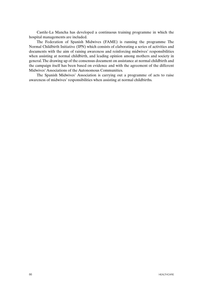Castile-La Mancha has developed a continuous training programme in which the hospital managements are included.

The Federation of Spanish Midwives (FAME) is running the programme The Normal Childbirth Initiative (IPN) which consists of elaborating a series of activities and documents with the aim of raising awareness and reinforcing midwives' responsibilities when assisting at normal childbirth, and leading opinion among mothers and society in general. The drawing up of the consensus document on assistance at normal childbirth and the campaign itself has been based on evidence and with the agreement of the different Midwives' Associations of the Autonomous Communities.

The Spanish Midwives' Association is carrying out a programme of acts to raise awareness of midwives' responsibilities when assisting at normal childbirths.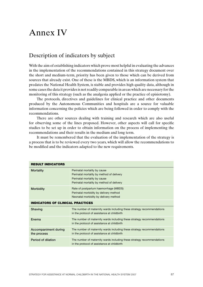## Annex IV

## Description of indicators by subject

With the aim of establishing indicators which prove most helpful in evaluating the advances in the implementation of the recommendations contained in this strategy document over the short and medium-term, priority has been given to those which can be derived from sources that already exist. One of these is the MBDS, which is an information system that predates the National Health System, is stable and provides high quality data, although in some cases the data it provides is not readily comparable in areas which are necessary for the monitoring of this strategy (such as the analgesia applied or the practice of episiotomy).

The protocols, directives and guidelines for clinical practice and other documents produced by the Autonomous Communities and hospitals are a source for valuable information concerning the policies which are being followed in order to comply with the recommendations.

There are other sources dealing with training and research which are also useful for observing some of the lines proposed. However, other aspects will call for specific studies to be set up in order to obtain information on the process of implementing the recommendations and their results in the medium and long term.

It must be remembered that the evaluation of the implementation of the strategy is a process that is to be reviewed every two years, which will allow the recommendations to be modified and the indicators adapted to the new requirements.

| <b>RESULT INDICATORS</b>                   |                                                                                                                                                        |  |
|--------------------------------------------|--------------------------------------------------------------------------------------------------------------------------------------------------------|--|
| <b>Mortality</b>                           | Perinatal mortality by cause<br>Perinatal mortality by method of delivery<br>Perinatal mortality by cause<br>Perinatal mortality by method of delivery |  |
| <b>Morbidity</b>                           | Rate of postpartum haemorrhage (MBDS)<br>Perinatal morbidity by delivery method<br>Neonatal morbidity by delivery method                               |  |
| <b>INDICATORS OF CLINICAL PRACTICES</b>    |                                                                                                                                                        |  |
| Shaving                                    | The number of maternity wards including these strategy recommendations<br>in the protocol of assistance at childbirth                                  |  |
| Enema                                      | The number of maternity wards including these strategy recommendations<br>in the protocol of assistance at childbirth                                  |  |
| <b>Accompaniment during</b><br>the process | The number of maternity wards including these strategy recommendations<br>in the protocol of assistance at childbirth                                  |  |
| Period of dilation                         | The number of maternity wards including these strategy recommendations<br>in the protocol of assistance at childbirth                                  |  |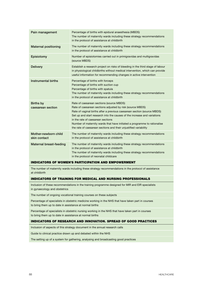| Pain management                       | Percentage of births with epidural anaesthesia (MBDS)<br>The number of maternity wards including these strategy recommendations<br>in the protocol of assistance at childbirth                                                                                                                                                                                                                                                                    |
|---------------------------------------|---------------------------------------------------------------------------------------------------------------------------------------------------------------------------------------------------------------------------------------------------------------------------------------------------------------------------------------------------------------------------------------------------------------------------------------------------|
| <b>Maternal positioning</b>           | The number of maternity wards including these strategy recommendations<br>in the protocol of assistance at childbirth                                                                                                                                                                                                                                                                                                                             |
| Episiotomy                            | Number of episiotomies carried out in primigravidas and multigravidas<br>(source MBDS)                                                                                                                                                                                                                                                                                                                                                            |
| <b>Delivery</b>                       | Establish a research project on risks of bleeding in the third stage of labour<br>in physiological childbirths without medical intervention, which can provide<br>useful information for recommending changes in active intervention                                                                                                                                                                                                              |
| Instrumental births                   | Percentage of births with forceps<br>Percentage of births with suction cup<br>Percentage of births with spatula<br>The number of maternity wards including these strategy recommendations<br>in the protocol of assistance at childbirth                                                                                                                                                                                                          |
| <b>Births by</b><br>caesarean section | Rate of caesarean sections (source MBDS)<br>Rate of caesarean sections adjusted by risk (source MBDS)<br>Rate of vaginal births after a previous caesarean section (source MBDS)<br>Set up and start research into the causes of the increase and variations<br>in the rate of caesarean sections<br>Number of maternity wards that have initiated a programme to rationalise<br>the rate of caesarean sections and their unjustified variability |
| Mother-newborn child<br>skin contact  | The number of maternity wards including these strategy recommendations<br>in the protocol of assistance at childbirth                                                                                                                                                                                                                                                                                                                             |
| <b>Maternal breast-feeding</b>        | The number of maternity wards including these strategy recommendations<br>in the protocol of assistance at childbirth<br>The number of maternity wards including these strategy recommendations<br>in the protocol of neonatal childcare                                                                                                                                                                                                          |

#### INDICATORS OF WOMEN'S PARTICIPATION AND EMPOWERMENT

The number of maternity wards including these strategy recommendations in the protocol of assistance at childbirth

#### INDICATORS OF TRAINING FOR MEDICAL AND NURSING PROFESSIONALS

Inclusion of these recommendations in the training programme designed for MIR and EIR specialists in gynaecology and obstetrics

The number of ongoing vocational training courses on these subjects

Percentage of specialists in obstetric medicine working in the NHS that have taken part in courses to bring them up to date in assistance at normal births

Percentage of specialists in obstetric nursing working in the NHS that have taken part in courses to bring them up to date in assistance at normal births

#### INDICATORS OF RESEARCH AND INNOVATION. SPREAD OF GOOD PRACTICES

Inclusion of aspects of this strategy document in the annual research calls

Guide to clinical practice drawn up and debated within the NHS

The setting up of a system for gathering, analysing and broadcasting good practices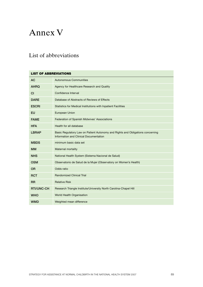# Annex V

## List of abbreviations

| <b>LIST OF ABBREVIATIONS</b> |                                                                                                                          |  |
|------------------------------|--------------------------------------------------------------------------------------------------------------------------|--|
| <b>AC</b>                    | <b>Autonomous Communities</b>                                                                                            |  |
| <b>AHRQ</b>                  | Agency for Healthcare Research and Quality                                                                               |  |
| CI                           | Confidence Interval                                                                                                      |  |
| <b>DARE</b>                  | Database of Abstracts of Reviews of Effects                                                                              |  |
| <b>ESCRI</b>                 | Statistics for Medical Institutions with Inpatient Facilities                                                            |  |
| EU                           | <b>European Union</b>                                                                                                    |  |
| <b>FAME</b>                  | Federation of Spanish Midwives' Associations                                                                             |  |
| <b>HFA</b>                   | Health for all database                                                                                                  |  |
| <b>LBRAP</b>                 | Basic Regulatory Law on Patient Autonomy and Rights and Obligations concerning<br>Information and Clinical Documentation |  |
| <b>MBDS</b>                  | minimum basic data set                                                                                                   |  |
| <b>MM</b>                    | <b>Maternal mortality</b>                                                                                                |  |
| <b>NHS</b>                   | National Health System (Sistema Nacional de Salud)                                                                       |  |
| <b>OSM</b>                   | Observatorio de Salud de la Mujer (Observatory on Women's Health)                                                        |  |
| 0 <sub>R</sub>               | Odds ratio                                                                                                               |  |
| <b>RCT</b>                   | <b>Randomized Clinical Trial</b>                                                                                         |  |
| <b>RR</b>                    | <b>Relative Risk</b>                                                                                                     |  |
| <b>RTI/UNC-CH</b>            | Research Triangle Institute/University North Carolina-Chapel Hill                                                        |  |
| <b>WHO</b>                   | World Health Organisation                                                                                                |  |
| WMD                          | Weighted mean difference                                                                                                 |  |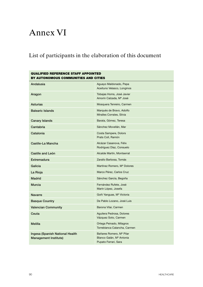# Annex VI

## List of participants in the elaboration of this document

| <b>QUALIFIED REFERENCE STAFF APPOINTED</b><br>BY AUTONOMOUS COMMUNITIES AND CITIES |                                                                                          |  |
|------------------------------------------------------------------------------------|------------------------------------------------------------------------------------------|--|
| Andalusia                                                                          | Aguayo Maldonado, Pepa<br>Aceituno Velasco, Longinos                                     |  |
| Aragon                                                                             | Tobajas Homs, José Javier<br>Amorín Calzada, Mª José                                     |  |
| <b>Asturias</b>                                                                    | Mosquera Tenreiro, Carmen                                                                |  |
| <b>Balearic Islands</b>                                                            | Marqués de Bravo, Adolfo<br>Miralles Corrales, Silvia                                    |  |
| <b>Canary Islands</b>                                                              | Barata, Gómez, Teresa                                                                    |  |
| Cantabria                                                                          | Sánchez Movellán, Mar                                                                    |  |
| Catalonia                                                                          | Costa Sampere, Dolors<br>Prats Coll, Ramón                                               |  |
| Castile-La Mancha                                                                  | Alcázar Casanova, Félix<br>Rodríguez Díaz, Consuelo                                      |  |
| Castile and León                                                                   | Alcalde Martín, Montserrat                                                               |  |
| <b>Extremadura</b>                                                                 | Zarallo Barbosa, Tomás                                                                   |  |
| Galicia                                                                            | Martínez Romero, Mª Dolores                                                              |  |
| La Rioja                                                                           | Marco Pérez, Carlos Cruz                                                                 |  |
| <b>Madrid</b>                                                                      | Sánchez García, Begoña                                                                   |  |
| <b>Murcia</b>                                                                      | Fernández Rufete, José<br>Marín López, Josefa                                            |  |
| <b>Navarre</b>                                                                     | Goñi Yanguas, M <sup>a</sup> Victoria                                                    |  |
| <b>Basque Country</b>                                                              | De Pablo Lozano, José Luis                                                               |  |
| <b>Valencian Community</b>                                                         | Barona Vilar, Carmen                                                                     |  |
| Ceuta                                                                              | Aguilera Pedrosa, Dolores<br>Vázquez Soto, Carmen                                        |  |
| <b>Melilla</b>                                                                     | Ortega Peinado, Milagros<br>Torreblanca Calancha, Carmen                                 |  |
| Ingesa (Spanish National Health<br><b>Management Institute)</b>                    | Bañares Romero, M <sup>a</sup> Pilar<br>Blanco Galán, Mª Antonia<br>Pupato Ferrari, Sara |  |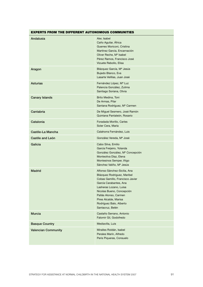#### EXPERTS FROM THE DIFFERENT AUTONOMOUS COMMUNITIES

| Andalusia                  | Aler, Isabel<br>Caño Aguilar, África<br>Guerreo Moriconi, Cristina<br>Martínez García, Encarnación<br>Oliver Reche, M <sup>a</sup> Isabel<br>Pérez Ramos, Francisco José<br>Vizuete Rebollo, Elisa                                                                               |
|----------------------------|----------------------------------------------------------------------------------------------------------------------------------------------------------------------------------------------------------------------------------------------------------------------------------|
| Aragon                     | Blázquez García, Mª Jesús<br>Bujedo Blanco, Eva<br>Lasarte Velillas, Juan José                                                                                                                                                                                                   |
| Asturias                   | Fernández López, Mª Luz<br>Palencia González, Zulima<br>Santiago Soriana, Olivia                                                                                                                                                                                                 |
| <b>Canary Islands</b>      | Brito Medina, Toni<br>De Armas, Pilar<br>Santana Rodríguez, Mª Carmen                                                                                                                                                                                                            |
| Cantabria                  | De Miguel Sesmero, José Ramón<br>Quintana Pantaleón, Rosario                                                                                                                                                                                                                     |
| Catalonia                  | Foradada Morillo, Carles<br>Soler Cera, María                                                                                                                                                                                                                                    |
| Castile-La Mancha          | Calahorra Fernández, Luis                                                                                                                                                                                                                                                        |
| Castile and León           | González Vereda, Mª José                                                                                                                                                                                                                                                         |
| Galicia                    | Cabo Silva, Emilio<br>García Freijeiro, Yolanda<br>González González, Mª Concepción<br>Monteoliva Díaz, Elena<br>Montesinos Semper, Iñigo<br>Sánchez Valiño, Mª Jesús                                                                                                            |
| <b>Madrid</b>              | Alfonso Sánchez-Sicilia, Ana<br>Blázquez Rodriguez, Maribel<br>Cobas Gamillo, Francisco Javier<br>García Carabantes, Ana<br>Lasheras Lozano, Luisa<br>Nicolas Bueno, Concepción<br>Pallás Alonso, Carmen<br>Pires Alcalde, Marisa<br>Rodríguez Balo, Alberto<br>Santacruz, Belén |
| <b>Murcia</b>              | Castaño Serrano, Antonio<br>Falomir Gil, Godofredo                                                                                                                                                                                                                               |
| <b>Basque Country</b>      | Mediavilla, Luis                                                                                                                                                                                                                                                                 |
| <b>Valencian Community</b> | Miralles Roldán, Isabel<br>Perales Marín, Alfredo<br>Peris Piqueras, Consuelo                                                                                                                                                                                                    |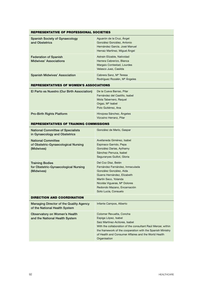| REPRESENTATIVE OF PROFESSIONAL SOCIETIES                                       |                                                                                                                                                                                                                                                                                          |  |  |  |
|--------------------------------------------------------------------------------|------------------------------------------------------------------------------------------------------------------------------------------------------------------------------------------------------------------------------------------------------------------------------------------|--|--|--|
| <b>Spanish Society of Gynaecology</b><br>and Obstetrics                        | Aguarón de la Cruz, Ángel<br>González González, Antonio<br>Hernández García, José Manuel<br>Herraiz Martínez, Miguel Ángel                                                                                                                                                               |  |  |  |
| <b>Federation of Spanish</b><br><b>Midwives' Associations</b>                  | Astrain Elizable, Natividad<br>Herrera Cabrerizo, Blanca<br>Margaix Contestad, Lourdes<br>Velasco Juez, Casilda                                                                                                                                                                          |  |  |  |
| <b>Spanish Midwives' Association</b>                                           | Cabrera Sanz, M <sup>ª</sup> Teresa<br>Rodríguez Rozalén, Mª Ángeles                                                                                                                                                                                                                     |  |  |  |
| REPRESENTATIVES OF WOMEN'S ASSOCIATIONS                                        |                                                                                                                                                                                                                                                                                          |  |  |  |
| El Parto es Nuestro (Our Birth Association)                                    | De la Cueva Barrao, Pilar<br>Fernández del Castillo, Isabel<br>Mota Tabernero, Raquel<br>Orgaz, Mª Isabel<br>Polo Gutiérrez, Ana                                                                                                                                                         |  |  |  |
| <b>Pro-Birth Rights Platform</b>                                               | Hinojosa Sánchez, Ángeles<br>Vizcaíno Herranz, Pilar                                                                                                                                                                                                                                     |  |  |  |
| REPRESENTATIVES OF TRAINING COMMISSIONS                                        |                                                                                                                                                                                                                                                                                          |  |  |  |
| <b>National Committee of Specialists</b><br>in Gynaecology and Obstetrics      | González de Merlo, Gaspar                                                                                                                                                                                                                                                                |  |  |  |
| <b>National Committee</b><br>of Obstetric-Gynaecological Nursing<br>(Midwives) | Avellaneda Giménez, Isabel<br>Espinaco Garrido, Pepa<br>González Darias, Aythamy<br>Sánchez Perruca, Isabel<br>Seguranyes Guillot, Gloria                                                                                                                                                |  |  |  |
| <b>Training Bodies</b><br>for Obstetric-Gynaecological Nursing<br>(Midwives)   | Del Coz Díaz, Belén<br>Fernández Fernández, Inmaculada<br>González González, Aída<br>Guerra Hernández, Elizabeth<br>Martín Seco, Yolanda<br>Nicolás Vigueras, Mª Dolores<br>Redondo Mazano, Encarnación<br>Soto Lucía, Consuelo                                                          |  |  |  |
| <b>DIRECTION AND COORDINATION</b>                                              |                                                                                                                                                                                                                                                                                          |  |  |  |
| Managing Director of the Quality Agency<br>of the National Health System       | Infante Campos, Alberto                                                                                                                                                                                                                                                                  |  |  |  |
| <b>Observatory on Women's Health</b><br>and the National Health System         | Colomer Revuelta, Concha<br>Espiga López, Isabel<br>Saiz Martínez-Acitores, Isabel<br>With the collaboration of the consultant Raúl Mercer, within<br>the framework of the cooperation with the Spanish Ministry<br>of Health and Consumer Affaires and the World Health<br>Organisation |  |  |  |